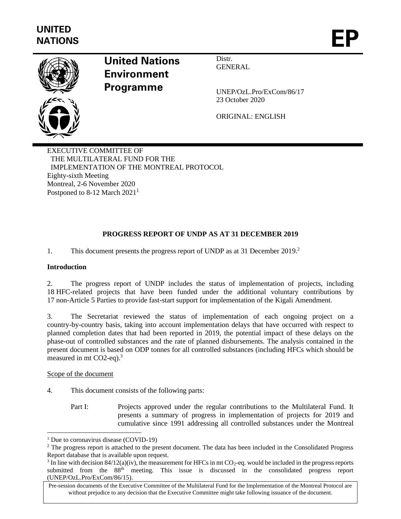

# **United Nations Environment Programme**

Distr. **GENERAL** 

UNEP/OzL.Pro/ExCom/86/17 23 October 2020

ORIGINAL: ENGLISH

EXECUTIVE COMMITTEE OF THE MULTILATERAL FUND FOR THE IMPLEMENTATION OF THE MONTREAL PROTOCOL Eighty-sixth Meeting Montreal, 2-6 November 2020 Postponed to 8-12 March 2021<sup>1</sup>

# **PROGRESS REPORT OF UNDP AS AT 31 DECEMBER 2019**

1. This document presents the progress report of UNDP as at 31 December 2019. 2

# **Introduction**

2. The progress report of UNDP includes the status of implementation of projects, including 18 HFC-related projects that have been funded under the additional voluntary contributions by 17 non-Article 5 Parties to provide fast-start support for implementation of the Kigali Amendment.

3. The Secretariat reviewed the status of implementation of each ongoing project on a country-by-country basis, taking into account implementation delays that have occurred with respect to planned completion dates that had been reported in 2019, the potential impact of these delays on the phase-out of controlled substances and the rate of planned disbursements. The analysis contained in the present document is based on ODP tonnes for all controlled substances (including HFCs which should be measured in mt  $CO2$ -eq).<sup>3</sup>

#### Scope of the document

- 4. This document consists of the following parts:
	- Part I: Projects approved under the regular contributions to the Multilateral Fund. It presents a summary of progress in implementation of projects for 2019 and cumulative since 1991 addressing all controlled substances under the Montreal

<sup>&</sup>lt;sup>1</sup> Due to coronavirus disease (COVID-19)

<sup>&</sup>lt;sup>2</sup> The progress report is attached to the present document. The data has been included in the Consolidated Progress Report database that is available upon request.

<sup>&</sup>lt;sup>3</sup> In line with decision 84/12(a)(iv), the measurement for HFCs in mt CO<sub>2</sub>-eq. would be included in the progress reports submitted from the 88th meeting. This issue is discussed in the consolidated progress report (UNEP/OzL.Pro/ExCom/86/15).

Pre-session documents of the Executive Committee of the Multilateral Fund for the Implementation of the Montreal Protocol are without prejudice to any decision that the Executive Committee might take following issuance of the document.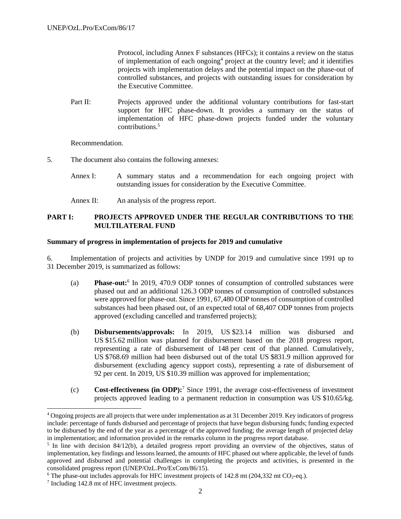Protocol, including Annex F substances (HFCs); it contains a review on the status of implementation of each ongoing<sup>4</sup> project at the country level; and it identifies projects with implementation delays and the potential impact on the phase-out of controlled substances, and projects with outstanding issues for consideration by the Executive Committee.

Part II: Projects approved under the additional voluntary contributions for fast-start support for HFC phase-down. It provides a summary on the status of implementation of HFC phase-down projects funded under the voluntary contributions.<sup>5</sup>

Recommendation.

- 5. The document also contains the following annexes:
	- Annex I: A summary status and a recommendation for each ongoing project with outstanding issues for consideration by the Executive Committee.
	- Annex II: An analysis of the progress report.

#### **PART I: PROJECTS APPROVED UNDER THE REGULAR CONTRIBUTIONS TO THE MULTILATERAL FUND**

#### **Summary of progress in implementation of projects for 2019 and cumulative**

6. Implementation of projects and activities by UNDP for 2019 and cumulative since 1991 up to 31 December 2019, is summarized as follows:

- (a) **Phase-out:**<sup>6</sup> In 2019, 470.9 ODP tonnes of consumption of controlled substances were phased out and an additional 126.3 ODP tonnes of consumption of controlled substances were approved for phase-out. Since 1991, 67,480 ODP tonnes of consumption of controlled substances had been phased out, of an expected total of 68,407 ODP tonnes from projects approved (excluding cancelled and transferred projects);
- (b) **Disbursements/approvals:** In 2019, US \$23.14 million was disbursed and US \$15.62 million was planned for disbursement based on the 2018 progress report, representing a rate of disbursement of 148 per cent of that planned. Cumulatively, US \$768.69 million had been disbursed out of the total US \$831.9 million approved for disbursement (excluding agency support costs), representing a rate of disbursement of 92 per cent. In 2019, US \$10.39 million was approved for implementation;
- (c) **Cost-effectiveness (in ODP):**<sup>7</sup> Since 1991, the average cost-effectiveness of investment projects approved leading to a permanent reduction in consumption was US \$10.65/kg.

<sup>4</sup> Ongoing projects are all projects that were under implementation as at 31 December 2019. Key indicators of progress include: percentage of funds disbursed and percentage of projects that have begun disbursing funds; funding expected to be disbursed by the end of the year as a percentage of the approved funding; the average length of projected delay in implementation; and information provided in the remarks column in the progress report database.

<sup>&</sup>lt;sup>5</sup> In line with decision 84/12(b), a detailed progress report providing an overview of the objectives, status of implementation, key findings and lessons learned, the amounts of HFC phased out where applicable, the level of funds approved and disbursed and potential challenges in completing the projects and activities, is presented in the consolidated progress report (UNEP/OzL.Pro/ExCom/86/15).

<sup>&</sup>lt;sup>6</sup> The phase-out includes approvals for HFC investment projects of 142.8 mt (204,332 mt CO<sub>2</sub>-eq.).

<sup>&</sup>lt;sup>7</sup> Including 142.8 mt of HFC investment projects.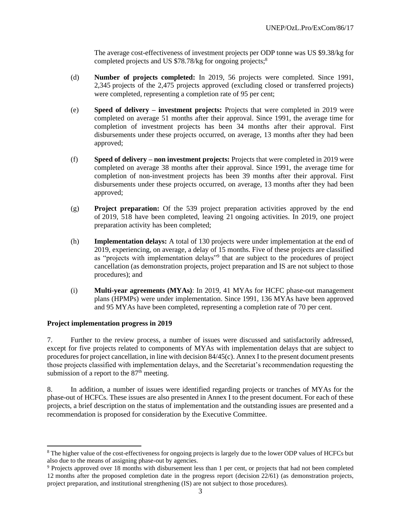The average cost-effectiveness of investment projects per ODP tonne was US \$9.38/kg for completed projects and US \$78.78/kg for ongoing projects;<sup>8</sup>

- (d) **Number of projects completed:** In 2019, 56 projects were completed. Since 1991, 2,345 projects of the 2,475 projects approved (excluding closed or transferred projects) were completed, representing a completion rate of 95 per cent;
- (e) **Speed of delivery – investment projects:** Projects that were completed in 2019 were completed on average 51 months after their approval. Since 1991, the average time for completion of investment projects has been 34 months after their approval. First disbursements under these projects occurred, on average, 13 months after they had been approved;
- (f) **Speed of delivery – non investment projects:** Projects that were completed in 2019 were completed on average 38 months after their approval. Since 1991, the average time for completion of non-investment projects has been 39 months after their approval. First disbursements under these projects occurred, on average, 13 months after they had been approved;
- (g) **Project preparation:** Of the 539 project preparation activities approved by the end of 2019, 518 have been completed, leaving 21 ongoing activities. In 2019, one project preparation activity has been completed;
- (h) **Implementation delays:** A total of 130 projects were under implementation at the end of 2019, experiencing, on average, a delay of 15 months. Five of these projects are classified as "projects with implementation delays"<sup>9</sup> that are subject to the procedures of project cancellation (as demonstration projects, project preparation and IS are not subject to those procedures); and
- (i) **Multi-year agreements (MYAs)**: In 2019, 41 MYAs for HCFC phase-out management plans (HPMPs) were under implementation. Since 1991, 136 MYAs have been approved and 95 MYAs have been completed, representing a completion rate of 70 per cent.

#### **Project implementation progress in 2019**

7. Further to the review process, a number of issues were discussed and satisfactorily addressed, except for five projects related to components of MYAs with implementation delays that are subject to procedures for project cancellation, in line with decision 84/45(c). Annex I to the present document presents those projects classified with implementation delays, and the Secretariat's recommendation requesting the submission of a report to the  $87<sup>th</sup>$  meeting.

8. In addition, a number of issues were identified regarding projects or tranches of MYAs for the phase-out of HCFCs. These issues are also presented in Annex I to the present document. For each of these projects, a brief description on the status of implementation and the outstanding issues are presented and a recommendation is proposed for consideration by the Executive Committee.

<sup>8</sup> The higher value of the cost-effectiveness for ongoing projects is largely due to the lower ODP values of HCFCs but also due to the means of assigning phase-out by agencies.

<sup>9</sup> Projects approved over 18 months with disbursement less than 1 per cent, or projects that had not been completed 12 months after the proposed completion date in the progress report (decision 22/61) (as demonstration projects, project preparation, and institutional strengthening (IS) are not subject to those procedures).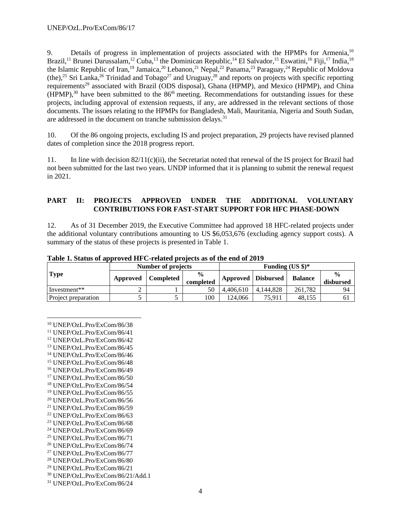9. Details of progress in implementation of projects associated with the HPMPs for Armenia,<sup>10</sup> Brazil,<sup>11</sup> Brunei Darussalam,<sup>12</sup> Cuba,<sup>13</sup> the Dominican Republic,<sup>14</sup> El Salvador,<sup>15</sup> Eswatini,<sup>16</sup> Fiji,<sup>17</sup> India,<sup>18</sup> the Islamic Republic of Iran,<sup>19</sup> Jamaica,<sup>20</sup> Lebanon,<sup>21</sup> Nepal,<sup>22</sup> Panama,<sup>23</sup> Paraguay,<sup>24</sup> Republic of Moldova  $(the)$ ,<sup>25</sup> Sri Lanka,<sup>26</sup> Trinidad and Tobago<sup>27</sup> and Uruguay,<sup>28</sup> and reports on projects with specific reporting requirements<sup>29</sup> associated with Brazil (ODS disposal), Ghana (HPMP), and Mexico (HPMP), and China  $(HPMP)$ ,<sup>30</sup> have been submitted to the 86<sup>th</sup> meeting. Recommendations for outstanding issues for these projects, including approval of extension requests, if any, are addressed in the relevant sections of those documents. The issues relating to the HPMPs for Bangladesh, Mali, Mauritania, Nigeria and South Sudan, are addressed in the document on tranche submission delays.<sup>31</sup>

10. Of the 86 ongoing projects, excluding IS and project preparation, 29 projects have revised planned dates of completion since the 2018 progress report.

11. In line with decision 82/11(c)(ii), the Secretariat noted that renewal of the IS project for Brazil had not been submitted for the last two years. UNDP informed that it is planning to submit the renewal request in 2021.

#### **PART II: PROJECTS APPROVED UNDER THE ADDITIONAL VOLUNTARY CONTRIBUTIONS FOR FAST-START SUPPORT FOR HFC PHASE-DOWN**

12. As of 31 December 2019, the Executive Committee had approved 18 HFC-related projects under the additional voluntary contributions amounting to US \$6,053,676 (excluding agency support costs). A summary of the status of these projects is presented in Table 1.

|                     |          | Number of projects |                            | Funding $(US \text{ } $)\text{*}$ |                  |                |                              |
|---------------------|----------|--------------------|----------------------------|-----------------------------------|------------------|----------------|------------------------------|
| <b>Type</b>         | Approved | Completed          | $\frac{0}{0}$<br>completed | Approved                          | <b>Disbursed</b> | <b>Balance</b> | $\frac{0}{\pi}$<br>disbursed |
| Investment**        |          |                    | 50                         | 4.406.610                         | 4.144.828        | 261.782        | 94                           |
| Project preparation |          |                    | 100                        | 124.066                           | 75.911           | 48.155         | 61                           |

**Table 1. Status of approved HFC-related projects as of the end of 2019**

- <sup>13</sup> UNEP/OzL.Pro/ExCom/86/45
- <sup>14</sup> UNEP/OzL.Pro/ExCom/86/46 <sup>15</sup> UNEP/OzL.Pro/ExCom/86/48
- <sup>16</sup> UNEP/OzL.Pro/ExCom/86/49
- <sup>17</sup> UNEP/OzL.Pro/ExCom/86/50
- <sup>18</sup> UNEP/OzL.Pro/ExCom/86/54
- <sup>19</sup> UNEP/OzL.Pro/ExCom/86/55
- <sup>20</sup> UNEP/OzL.Pro/ExCom/86/56
- <sup>21</sup> UNEP/OzL.Pro/ExCom/86/59
- <sup>22</sup> UNEP/OzL.Pro/ExCom/86/63
- <sup>23</sup> UNEP/OzL.Pro/ExCom/86/68
- <sup>24</sup> UNEP/OzL.Pro/ExCom/86/69
- <sup>25</sup> UNEP/OzL.Pro/ExCom/86/71
- <sup>26</sup> UNEP/OzL.Pro/ExCom/86/74
- <sup>27</sup> UNEP/OzL.Pro/ExCom/86/77
- <sup>28</sup> UNEP/OzL.Pro/ExCom/86/80
- <sup>29</sup> UNEP/OzL.Pro/ExCom/86/21
- <sup>30</sup> UNEP/OzL.Pro/ExCom/86/21/Add.1 <sup>31</sup> UNEP/OzL.Pro/ExCom/86/24

4

<sup>10</sup> UNEP/OzL.Pro/ExCom/86/38

<sup>11</sup> UNEP/OzL.Pro/ExCom/86/41

<sup>12</sup> UNEP/OzL.Pro/ExCom/86/42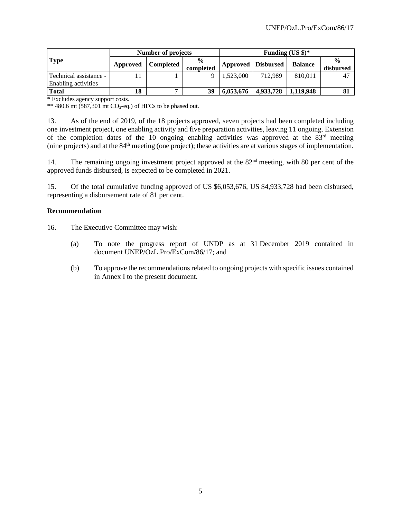|                            |          | <b>Number of projects</b> |                            | Funding $(US \text{ } $)\text{*}$ |           |                |                            |
|----------------------------|----------|---------------------------|----------------------------|-----------------------------------|-----------|----------------|----------------------------|
| <b>Type</b>                | Approved | <b>Completed</b>          | $\frac{6}{9}$<br>completed | Approved   Disbursed              |           | <b>Balance</b> | $\frac{0}{0}$<br>disbursed |
| - Technical assistance     |          |                           | $\Omega$                   | 1.523,000                         | 712.989   | 810.011        |                            |
| <b>Enabling activities</b> |          |                           |                            |                                   |           |                |                            |
| <b>Total</b>               | 18       |                           | 39                         | 6,053,676                         | 4,933,728 | 1.119.948      |                            |

\* Excludes agency support costs.

\*\* 480.6 mt  $(587,301 \text{ m})$  CO<sub>2</sub>-eq.) of HFCs to be phased out.

13. As of the end of 2019, of the 18 projects approved, seven projects had been completed including one investment project, one enabling activity and five preparation activities, leaving 11 ongoing. Extension of the completion dates of the 10 ongoing enabling activities was approved at the  $83<sup>rd</sup>$  meeting (nine projects) and at the 84th meeting (one project); these activities are at various stages of implementation.

14. The remaining ongoing investment project approved at the 82<sup>nd</sup> meeting, with 80 per cent of the approved funds disbursed, is expected to be completed in 2021.

15. Of the total cumulative funding approved of US \$6,053,676, US \$4,933,728 had been disbursed, representing a disbursement rate of 81 per cent.

#### **Recommendation**

16. The Executive Committee may wish:

- (a) To note the progress report of UNDP as at 31 December 2019 contained in document UNEP/OzL.Pro/ExCom/86/17; and
- (b) To approve the recommendations related to ongoing projects with specific issues contained in Annex I to the present document.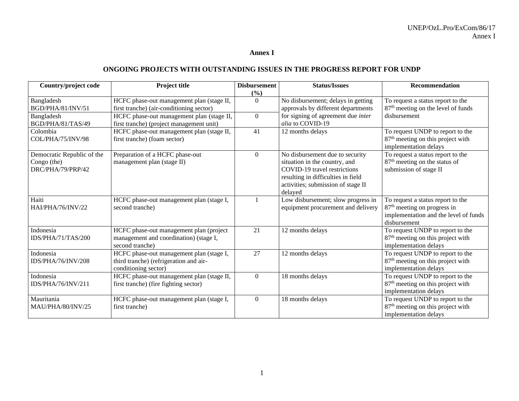#### **Annex I**

# **ONGOING PROJECTS WITH OUTSTANDING ISSUES IN THE PROGRESS REPORT FOR UNDP**

| Country/project code                                           | Project title                                                                                                                      | <b>Disbursement</b><br>(%) | <b>Status/Issues</b>                                                                                                                                                                    | <b>Recommendation</b>                                                                                                                 |
|----------------------------------------------------------------|------------------------------------------------------------------------------------------------------------------------------------|----------------------------|-----------------------------------------------------------------------------------------------------------------------------------------------------------------------------------------|---------------------------------------------------------------------------------------------------------------------------------------|
| Bangladesh<br>BGD/PHA/81/INV/51<br>Bangladesh                  | HCFC phase-out management plan (stage II,<br>first tranche) (air-conditioning sector)<br>HCFC phase-out management plan (stage II, | $\Omega$<br>$\overline{0}$ | No disbursement; delays in getting<br>approvals by different departments<br>for signing of agreement due <i>inter</i>                                                                   | To request a status report to the<br>87 <sup>th</sup> meeting on the level of funds<br>disbursement                                   |
| BGD/PHA/81/TAS/49                                              | first tranche) (project management unit)                                                                                           |                            | alia to COVID-19                                                                                                                                                                        |                                                                                                                                       |
| Colombia<br>COL/PHA/75/INV/98                                  | HCFC phase-out management plan (stage II,<br>first tranche) (foam sector)                                                          | 41                         | 12 months delays                                                                                                                                                                        | To request UNDP to report to the<br>87 <sup>th</sup> meeting on this project with<br>implementation delays                            |
| Democratic Republic of the<br>Congo (the)<br>DRC/PHA/79/PRP/42 | Preparation of a HCFC phase-out<br>management plan (stage II)                                                                      | $\Omega$                   | No disbursement due to security<br>situation in the country, and<br>COVID-19 travel restrictions<br>resulting in difficulties in field<br>activities; submission of stage II<br>delayed | To request a status report to the<br>87 <sup>th</sup> meeting on the status of<br>submission of stage II                              |
| Haiti<br>HAI/PHA/76/INV/22                                     | HCFC phase-out management plan (stage I,<br>second tranche)                                                                        |                            | Low disbursement; slow progress in<br>equipment procurement and delivery                                                                                                                | To request a status report to the<br>87 <sup>th</sup> meeting on progress in<br>implementation and the level of funds<br>disbursement |
| Indonesia<br>IDS/PHA/71/TAS/200                                | HCFC phase-out management plan (project<br>management and coordination) (stage I,<br>second tranche)                               | 21                         | 12 months delays                                                                                                                                                                        | To request UNDP to report to the<br>87 <sup>th</sup> meeting on this project with<br>implementation delays                            |
| Indonesia<br>IDS/PHA/76/INV/208                                | HCFC phase-out management plan (stage I,<br>third tranche) (refrigeration and air-<br>conditioning sector)                         | 27                         | 12 months delays                                                                                                                                                                        | To request UNDP to report to the<br>87 <sup>th</sup> meeting on this project with<br>implementation delays                            |
| Indonesia<br>IDS/PHA/76/INV/211                                | HCFC phase-out management plan (stage II,<br>first tranche) (fire fighting sector)                                                 | $\Omega$                   | 18 months delays                                                                                                                                                                        | To request UNDP to report to the<br>87 <sup>th</sup> meeting on this project with<br>implementation delays                            |
| Mauritania<br>MAU/PHA/80/INV/25                                | HCFC phase-out management plan (stage I,<br>first tranche)                                                                         | $\Omega$                   | 18 months delays                                                                                                                                                                        | To request UNDP to report to the<br>87 <sup>th</sup> meeting on this project with<br>implementation delays                            |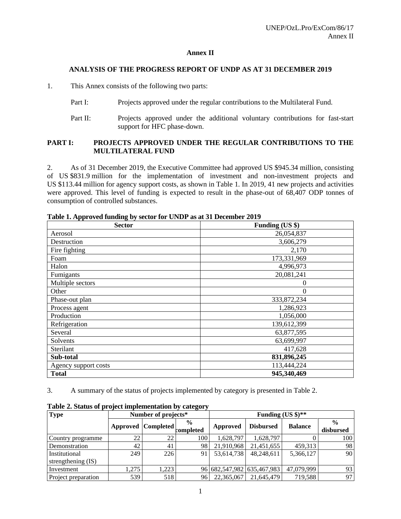#### **Annex II**

#### **ANALYSIS OF THE PROGRESS REPORT OF UNDP AS AT 31 DECEMBER 2019**

1. This Annex consists of the following two parts:

- Part I: Projects approved under the regular contributions to the Multilateral Fund.
- Part II: Projects approved under the additional voluntary contributions for fast-start support for HFC phase-down.

#### **PART I: PROJECTS APPROVED UNDER THE REGULAR CONTRIBUTIONS TO THE MULTILATERAL FUND**

2. As of 31 December 2019, the Executive Committee had approved US \$945.34 million, consisting of US \$831.9 million for the implementation of investment and non-investment projects and US \$113.44 million for agency support costs, as shown in Table 1. In 2019, 41 new projects and activities were approved. This level of funding is expected to result in the phase-out of 68,407 ODP tonnes of consumption of controlled substances.

| <b>Sector</b>        | Funding (US \$) |
|----------------------|-----------------|
| Aerosol              | 26,054,837      |
| Destruction          | 3,606,279       |
| Fire fighting        | 2,170           |
| Foam                 | 173,331,969     |
| Halon                | 4,996,973       |
| Fumigants            | 20,081,241      |
| Multiple sectors     | $\theta$        |
| Other                | $\theta$        |
| Phase-out plan       | 333, 872, 234   |
| Process agent        | 1,286,923       |
| Production           | 1,056,000       |
| Refrigeration        | 139,612,399     |
| Several              | 63,877,595      |
| Solvents             | 63,699,997      |
| Sterilant            | 417,628         |
| Sub-total            | 831,896,245     |
| Agency support costs | 113,444,224     |
| <b>Total</b>         | 945,340,469     |

**Table 1. Approved funding by sector for UNDP as at 31 December 2019**

3. A summary of the status of projects implemented by category is presented in Table 2.

| <b>Type</b>                         | Number of projects* |                    |                            | Funding $(US \text{ } $)\text{**}$ |                            |                |                            |
|-------------------------------------|---------------------|--------------------|----------------------------|------------------------------------|----------------------------|----------------|----------------------------|
|                                     |                     | Approved Completed | $\frac{6}{9}$<br>completed | Approved                           | <b>Disbursed</b>           | <b>Balance</b> | $\frac{0}{0}$<br>disbursed |
| Country programme                   | 22                  | 22                 | 100                        | 1,628,797                          | 1.628.797                  |                | 100                        |
| Demonstration                       | 42                  | 41                 | 98                         | 21,910,968                         | 21,451,655                 | 459.313        | 98                         |
| Institutional<br>strengthening (IS) | 249                 | 226                | 91                         | 53,614,738                         | 48.248.611                 | 5,366,127      | 90                         |
| Investment                          | 1,275               | ,223               |                            |                                    | 96 682,547,982 635,467,983 | 47,079,999     | 93                         |
| Project preparation                 | 539                 | 518                | 961                        | 22,365,067                         | 21,645,479                 | 719,588        | 97                         |

**Table 2. Status of project implementation by category**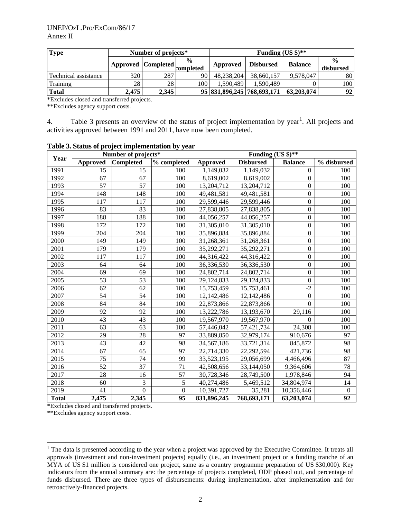| <b>Type</b>          | Number of projects* |                      |                            |            | Funding $(US \text{ } $)\text{**}$ |                |                            |  |
|----------------------|---------------------|----------------------|----------------------------|------------|------------------------------------|----------------|----------------------------|--|
|                      |                     | Approved   Completed | $\frac{0}{0}$<br>completed | Approved   | <b>Disbursed</b>                   | <b>Balance</b> | $\frac{0}{0}$<br>disbursed |  |
| Technical assistance | 320                 | 287                  | 90                         | 48,238,204 | 38,660,157                         | 9.578.047      | 80                         |  |
| Training             | 28                  | 28                   | 100                        | 1.590.489  | 1.590.489                          |                | 100                        |  |
| <b>Total</b>         | 2,475               | 2,345                |                            |            | 95 831,896,245 768,693,171         | 63,203,074     | 92                         |  |

\*Excludes closed and transferred projects.

\*\*Excludes agency support costs.

4. Table 3 presents an overview of the status of project implementation by year<sup>1</sup>. All projects and activities approved between 1991 and 2011, have now been completed.

|              |                 | Number of projects* |             |                 | Funding (US $\frac{1}{2}$ )** |                  |             |
|--------------|-----------------|---------------------|-------------|-----------------|-------------------------------|------------------|-------------|
| Year         | <b>Approved</b> | <b>Completed</b>    | % completed | <b>Approved</b> | <b>Disbursed</b>              | <b>Balance</b>   | % disbursed |
| 1991         | 15              | 15                  | 100         | 1,149,032       | 1,149,032                     | $\boldsymbol{0}$ | 100         |
| 1992         | 67              | 67                  | 100         | 8,619,002       | 8,619,002                     | $\overline{0}$   | 100         |
| 1993         | 57              | 57                  | 100         | 13,204,712      | 13,204,712                    | $\Omega$         | 100         |
| 1994         | 148             | 148                 | 100         | 49,481,581      | 49,481,581                    | $\boldsymbol{0}$ | 100         |
| 1995         | 117             | 117                 | 100         | 29,599,446      | 29,599,446                    | $\boldsymbol{0}$ | 100         |
| 1996         | 83              | 83                  | 100         | 27,838,805      | 27,838,805                    | $\Omega$         | 100         |
| 1997         | 188             | 188                 | 100         | 44,056,257      | 44,056,257                    | $\boldsymbol{0}$ | 100         |
| 1998         | 172             | 172                 | 100         | 31,305,010      | 31,305,010                    | $\boldsymbol{0}$ | 100         |
| 1999         | 204             | 204                 | 100         | 35,896,884      | 35,896,884                    | $\boldsymbol{0}$ | 100         |
| 2000         | 149             | 149                 | 100         | 31,268,361      | 31,268,361                    | $\boldsymbol{0}$ | 100         |
| 2001         | 179             | 179                 | 100         | 35,292,271      | 35,292,271                    | $\boldsymbol{0}$ | 100         |
| 2002         | 117             | 117                 | 100         | 44,316,422      | 44,316,422                    | $\boldsymbol{0}$ | 100         |
| 2003         | 64              | 64                  | 100         | 36,336,530      | 36,336,530                    | $\mathbf{0}$     | 100         |
| 2004         | 69              | 69                  | 100         | 24,802,714      | 24,802,714                    | $\mathbf{0}$     | 100         |
| 2005         | 53              | 53                  | 100         | 29,124,833      | 29,124,833                    | $\boldsymbol{0}$ | 100         |
| 2006         | 62              | 62                  | 100         | 15,753,459      | 15,753,461                    | $-2$             | 100         |
| 2007         | 54              | 54                  | 100         | 12,142,486      | 12,142,486                    | $\Omega$         | 100         |
| 2008         | 84              | 84                  | 100         | 22,873,866      | 22,873,866                    | $\overline{0}$   | 100         |
| 2009         | 92              | 92                  | 100         | 13,222,786      | 13,193,670                    | 29,116           | 100         |
| 2010         | 43              | 43                  | 100         | 19,567,970      | 19,567,970                    | $\theta$         | 100         |
| 2011         | 63              | 63                  | 100         | 57,446,042      | 57,421,734                    | 24,308           | 100         |
| 2012         | 29              | 28                  | 97          | 33,889,850      | 32,979,174                    | 910,676          | 97          |
| 2013         | 43              | 42                  | 98          | 34,567,186      | 33,721,314                    | 845,872          | 98          |
| 2014         | 67              | 65                  | 97          | 22,714,330      | 22,292,594                    | 421,736          | 98          |
| 2015         | 75              | 74                  | 99          | 33,523,195      | 29,056,699                    | 4,466,496        | 87          |
| 2016         | 52              | 37                  | 71          | 42,508,656      | 33,144,050                    | 9,364,606        | 78          |
| 2017         | 28              | 16                  | 57          | 30,728,346      | 28,749,500                    | 1,978,846        | 94          |
| 2018         | 60              | 3                   | 5           | 40,274,486      | 5,469,512                     | 34,804,974       | 14          |
| 2019         | 41              | $\overline{0}$      | $\Omega$    | 10,391,727      | 35,281                        | 10,356,446       | $\theta$    |
| <b>Total</b> | 2,475           | 2,345               | 95          | 831,896,245     | 768,693,171                   | 63,203,074       | 92          |

**Table 3. Status of project implementation by year**

\*Excludes closed and transferred projects.

\*\*Excludes agency support costs.

<sup>&</sup>lt;sup>1</sup> The data is presented according to the year when a project was approved by the Executive Committee. It treats all approvals (investment and non-investment projects) equally (i.e., an investment project or a funding tranche of an MYA of US \$1 million is considered one project, same as a country programme preparation of US \$30,000). Key indicators from the annual summary are: the percentage of projects completed, ODP phased out, and percentage of funds disbursed. There are three types of disbursements: during implementation, after implementation and for retroactively-financed projects.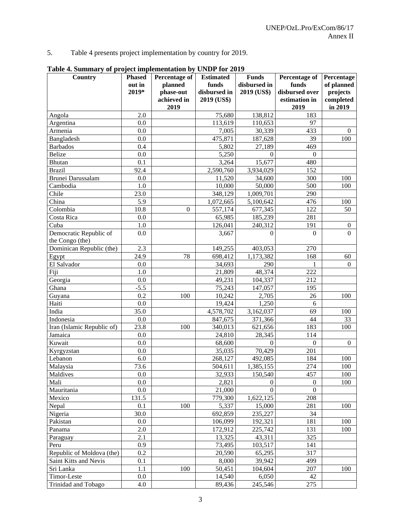5. Table 4 presents project implementation by country for 2019.

| Country                                   | <b>Phased</b> | <b>Percentage of</b> | <b>Estimated</b> | <b>Funds</b>       | Percentage of    | Percentage       |
|-------------------------------------------|---------------|----------------------|------------------|--------------------|------------------|------------------|
|                                           | out in        | planned              | funds            | disbursed in       | funds            | of planned       |
|                                           | 2019*         | phase-out            | disbursed in     | 2019 (US\$)        | disbursed over   | projects         |
|                                           |               | achieved in          | 2019 (US\$)      |                    | estimation in    | completed        |
|                                           |               | 2019                 |                  |                    | 2019             | in 2019          |
| Angola                                    | 2.0           |                      | 75,680           | 138,812            | 183              |                  |
| Argentina                                 | 0.0           |                      | 113,619          | 110,653            | 97               |                  |
| Armenia                                   | 0.0           |                      | 7,005            | 30,339             | 433              | $\theta$         |
| Bangladesh                                | 0.0           |                      | 475,871          | 187,628            | 39               | 100              |
| <b>Barbados</b>                           | 0.4           |                      | 5,802            | 27,189             | 469              |                  |
| <b>Belize</b>                             | 0.0           |                      | 5,250            | $\mathbf{0}$       | $\theta$         |                  |
| <b>Bhutan</b>                             | 0.1           |                      | 3,264            | 15,677             | 480              |                  |
| <b>Brazil</b>                             | 92.4          |                      | 2,590,760        | 3,934,029          | 152              |                  |
| Brunei Darussalam                         | 0.0           |                      | 11,520           | 34,600             | 300              | 100              |
| Cambodia                                  | 1.0           |                      | 10,000           | 50,000             | 500              | 100              |
| Chile                                     | 23.0          |                      | 348,129          | 1,009,701          | 290              |                  |
| China                                     | 5.9           |                      | 1,072,665        | 5,100,642          | 476              | 100              |
| Colombia                                  | 10.8          | $\overline{0}$       | 557,174          | 677,345            | 122              | 50               |
| Costa Rica                                | 0.0           |                      | 65,985           | 185,239            | 281              |                  |
| Cuba                                      | 1.0           |                      | 126,041          | 240,312            | 191              | $\boldsymbol{0}$ |
| Democratic Republic of<br>the Congo (the) | 0.0           |                      | 3,667            | $\Omega$           | $\theta$         | $\Omega$         |
|                                           | 2.3           |                      |                  |                    | 270              |                  |
| Dominican Republic (the)                  | 24.9          | 78                   | 149,255          | 403,053            |                  |                  |
| Egypt<br>El Salvador                      | 0.0           |                      | 698,412          | 1,173,382          | 168<br>1         | 60<br>$\Omega$   |
|                                           | 1.0           |                      | 34,693           | 290                |                  |                  |
| Fiji<br>Georgia                           | 0.0           |                      | 21,809           | 48,374             | 222<br>212       |                  |
| Ghana                                     | $-5.5$        |                      | 49,231           | 104,337<br>147,057 | 195              |                  |
| Guyana                                    | 0.2           | 100                  | 75,243<br>10,242 | 2,705              | 26               | 100              |
| Haiti                                     | 0.0           |                      | 19,424           | 1,250              | 6                |                  |
| India                                     | 35.0          |                      | 4,578,702        | 3,162,037          | 69               | 100              |
| Indonesia                                 | 0.0           |                      | 847,675          | 371,366            | 44               | 33               |
| Iran (Islamic Republic of)                | 23.8          | 100                  | 340,013          | 621,656            | 183              | 100              |
| Jamaica                                   | 0.0           |                      | 24,810           | 28,345             | 114              |                  |
| Kuwait                                    | 0.0           |                      | 68,600           | $\overline{0}$     | $\boldsymbol{0}$ | $\Omega$         |
| Kyrgyzstan                                | 0.0           |                      | 35,035           | 70,429             | 201              |                  |
| Lebanon                                   | $6.0\,$       |                      | 268,127          | 492,085            | 184              | 100              |
| Malaysia                                  | 73.6          |                      | 504,611          | 1,385,155          | 274              | 100              |
| Maldives                                  | $0.0\,$       |                      | 32,933           | 150,540            | 457              | 100              |
| Mali                                      | 0.0           |                      | 2,821            | $\boldsymbol{0}$   | $\overline{0}$   | 100              |
| Mauritania                                | $0.0\,$       |                      | 21,000           | $\overline{0}$     | $\boldsymbol{0}$ |                  |
| Mexico                                    | 131.5         |                      | 779,300          | 1,622,125          | 208              |                  |
| Nepal                                     | 0.1           | 100                  | 5,337            | 15,000             | 281              | 100              |
| Nigeria                                   | 30.0          |                      | 692,859          | 235,227            | 34               |                  |
| Pakistan                                  | $0.0\,$       |                      | 106,099          | 192,321            | 181              | 100              |
| Panama                                    | 2.0           |                      | 172,912          | 225,742            | 131              | 100              |
| Paraguay                                  | 2.1           |                      | 13,325           | 43,311             | 325              |                  |
| Peru                                      | 0.9           |                      | 73,495           | 103,517            | 141              |                  |
| Republic of Moldova (the)                 | 0.2           |                      | 20,590           | 65,295             | 317              |                  |
| Saint Kitts and Nevis                     | 0.1           |                      | 8,000            | 39,942             | 499              |                  |
| Sri Lanka                                 | 1.1           | 100                  | 50,451           | 104,604            | 207              | 100              |
| Timor-Leste                               | $0.0\,$       |                      | 14,540           | 6,050              | 42               |                  |
| Trinidad and Tobago                       | 4.0           |                      | 89,436           | 245,546            | 275              |                  |

**Table 4. Summary of project implementation by UNDP for 2019**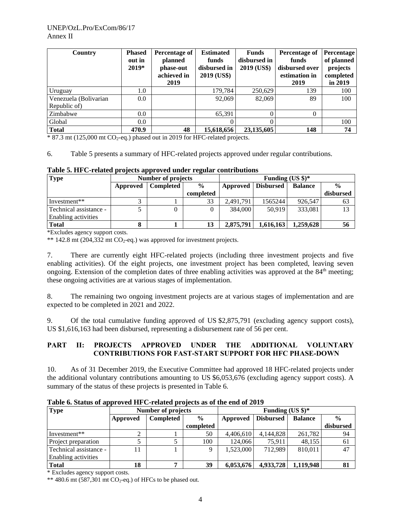| Country                               | <b>Phased</b><br>out in<br>$2019*$ | Percentage of<br>planned<br>phase-out<br>achieved in<br>2019 | <b>Estimated</b><br>funds<br>disbursed in<br>2019 (US\$) | <b>Funds</b><br>disbursed in<br>2019 (US\$) | Percentage of<br>funds<br>disbursed over<br>estimation in<br>2019 | <b>Percentage</b><br>of planned<br>projects<br>completed<br>in 2019 |
|---------------------------------------|------------------------------------|--------------------------------------------------------------|----------------------------------------------------------|---------------------------------------------|-------------------------------------------------------------------|---------------------------------------------------------------------|
| Uruguay                               | 1.0                                |                                                              | 179.784                                                  | 250,629                                     | 139                                                               | 100                                                                 |
| Venezuela (Bolivarian<br>Republic of) | 0.0                                |                                                              | 92,069                                                   | 82,069                                      | 89                                                                | 100                                                                 |
| Zimbabwe                              | 0.0                                |                                                              | 65,391                                                   | 0                                           | 0                                                                 |                                                                     |
| Global                                | 0.0                                |                                                              |                                                          | 0                                           |                                                                   | 100                                                                 |
| <b>Total</b>                          | 470.9                              | 48                                                           | 15,618,656                                               | 23,135,605                                  | 148                                                               | 74                                                                  |

\* 87.3 mt (125,000 mt CO2-eq.) phased out in 2019 for HFC-related projects.

6. Table 5 presents a summary of HFC-related projects approved under regular contributions.

**Table 5. HFC-related projects approved under regular contributions**

| <b>Type</b>            | Number of projects    |  |               |           | Funding $(US \text{ } $)\text{*}$ |                |               |  |
|------------------------|-----------------------|--|---------------|-----------|-----------------------------------|----------------|---------------|--|
|                        | Completed<br>Approved |  | $\frac{6}{9}$ | Approved  | <b>Disbursed</b>                  | <b>Balance</b> | $\frac{0}{0}$ |  |
|                        |                       |  | completed     |           |                                   |                | disbursed     |  |
| Investment**           |                       |  | 33            | 2,491,791 | 1565244                           | 926,547        | 63            |  |
| Technical assistance - |                       |  | 0             | 384,000   | 50.919                            | 333.081        | 13            |  |
| Enabling activities    |                       |  |               |           |                                   |                |               |  |
| <b>Total</b>           |                       |  | 13            | 2,875,791 | 1,616,163                         | 1,259,628      | 56            |  |

\*Excludes agency support costs.

\*\* 142.8 mt (204,332 mt  $CO_2$ -eq.) was approved for investment projects.

7. There are currently eight HFC-related projects (including three investment projects and five enabling activities). Of the eight projects, one investment project has been completed, leaving seven ongoing. Extension of the completion dates of three enabling activities was approved at the 84<sup>th</sup> meeting; these ongoing activities are at various stages of implementation.

8. The remaining two ongoing investment projects are at various stages of implementation and are expected to be completed in 2021 and 2022.

9. Of the total cumulative funding approved of US \$2,875,791 (excluding agency support costs), US \$1,616,163 had been disbursed, representing a disbursement rate of 56 per cent.

#### **PART II: PROJECTS APPROVED UNDER THE ADDITIONAL VOLUNTARY CONTRIBUTIONS FOR FAST-START SUPPORT FOR HFC PHASE-DOWN**

10. As of 31 December 2019, the Executive Committee had approved 18 HFC-related projects under the additional voluntary contributions amounting to US \$6,053,676 (excluding agency support costs). A summary of the status of these projects is presented in Table 6.

| <b>Type</b>            | Number of projects |                  |               | Funding $(US \text{ } $)\text{*}$ |                  |                |               |
|------------------------|--------------------|------------------|---------------|-----------------------------------|------------------|----------------|---------------|
|                        | Approved           | <b>Completed</b> | $\frac{0}{0}$ | Approved                          | <b>Disbursed</b> | <b>Balance</b> | $\frac{0}{0}$ |
|                        |                    |                  | completed     |                                   |                  |                | disbursed     |
| Investment**           | ◠<br>∠             |                  | 50            | 4,406,610                         | 4,144,828        | 261,782        | 94            |
| Project preparation    |                    |                  | 100           | 124,066                           | 75.911           | 48,155         | 61            |
| - Technical assistance | 11                 |                  | Q             | 1,523,000                         | 712.989          | 810,011        | 47            |
| Enabling activities    |                    |                  |               |                                   |                  |                |               |
| <b>Total</b>           | 18                 |                  | 39            | 6,053,676                         | 4,933,728        | 1,119,948      |               |

**Table 6. Status of approved HFC-related projects as of the end of 2019**

\* Excludes agency support costs.

 $**$  480.6 mt (587,301 mt CO<sub>2</sub>-eq.) of HFCs to be phased out.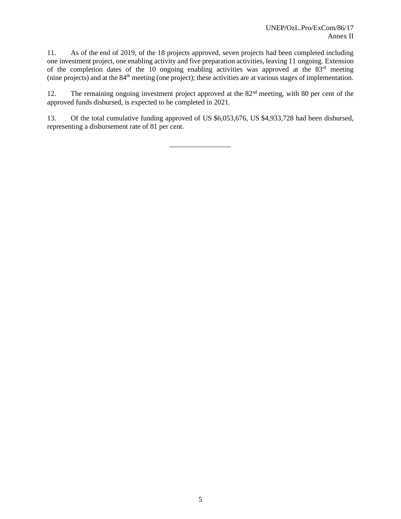11. As of the end of 2019, of the 18 projects approved, seven projects had been completed including one investment project, one enabling activity and five preparation activities, leaving 11 ongoing. Extension of the completion dates of the 10 ongoing enabling activities was approved at the  $83<sup>rd</sup>$  meeting (nine projects) and at the 84th meeting (one project); these activities are at various stages of implementation.

12. The remaining ongoing investment project approved at the 82<sup>nd</sup> meeting, with 80 per cent of the approved funds disbursed, is expected to be completed in 2021.

13. Of the total cumulative funding approved of US \$6,053,676, US \$4,933,728 had been disbursed, representing a disbursement rate of 81 per cent.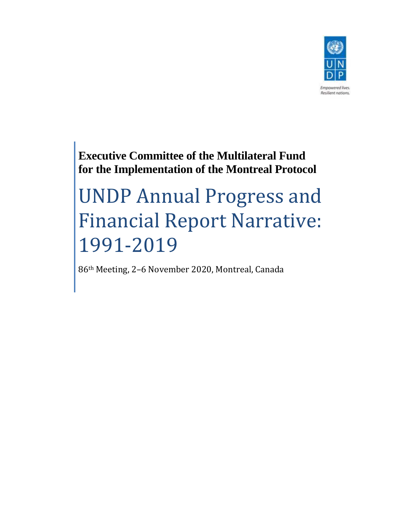

**Executive Committee of the Multilateral Fund for the Implementation of the Montreal Protocol**

# UNDP Annual Progress and Financial Report Narrative: 1991-2019

86th Meeting, 2–6 November 2020, Montreal, Canada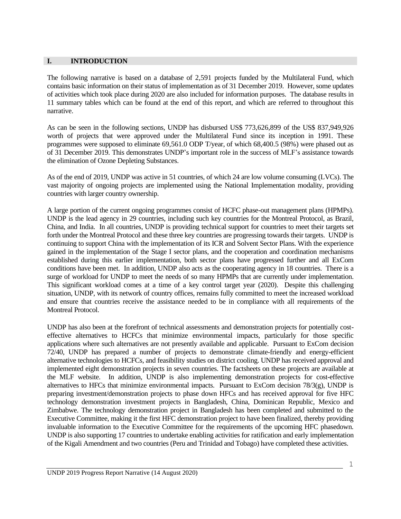#### **I. INTRODUCTION**

The following narrative is based on a database of 2,591 projects funded by the Multilateral Fund, which contains basic information on their status of implementation as of 31 December 2019. However, some updates of activities which took place during 2020 are also included for information purposes. The database results in 11 summary tables which can be found at the end of this report, and which are referred to throughout this narrative.

As can be seen in the following sections, UNDP has disbursed US\$ 773,626,899 of the US\$ 837,949,926 worth of projects that were approved under the Multilateral Fund since its inception in 1991. These programmes were supposed to eliminate 69,561.0 ODP T/year, of which 68,400.5 (98%) were phased out as of 31 December 2019. This demonstrates UNDP's important role in the success of MLF's assistance towards the elimination of Ozone Depleting Substances.

As of the end of 2019, UNDP was active in 51 countries, of which 24 are low volume consuming (LVCs). The vast majority of ongoing projects are implemented using the National Implementation modality, providing countries with larger country ownership.

A large portion of the current ongoing programmes consist of HCFC phase-out management plans (HPMPs). UNDP is the lead agency in 29 countries, including such key countries for the Montreal Protocol, as Brazil, China, and India. In all countries, UNDP is providing technical support for countries to meet their targets set forth under the Montreal Protocol and these three key countries are progressing towards their targets. UNDP is continuing to support China with the implementation of its ICR and Solvent Sector Plans. With the experience gained in the implementation of the Stage I sector plans, and the cooperation and coordination mechanisms established during this earlier implementation, both sector plans have progressed further and all ExCom conditions have been met. In addition, UNDP also acts as the cooperating agency in 18 countries. There is a surge of workload for UNDP to meet the needs of so many HPMPs that are currently under implementation. This significant workload comes at a time of a key control target year (2020). Despite this challenging situation, UNDP, with its network of country offices, remains fully committed to meet the increased workload and ensure that countries receive the assistance needed to be in compliance with all requirements of the Montreal Protocol.

UNDP has also been at the forefront of technical assessments and demonstration projects for potentially costeffective alternatives to HCFCs that minimize environmental impacts, particularly for those specific applications where such alternatives are not presently available and applicable. Pursuant to ExCom decision 72/40, UNDP has prepared a number of projects to demonstrate climate-friendly and energy-efficient alternative technologies to HCFCs, and feasibility studies on district cooling. UNDP has received approval and implemented eight demonstration projects in seven countries. The factsheets on these projects are available at the MLF website. In addition, UNDP is also implementing demonstration projects for cost-effective alternatives to HFCs that minimize environmental impacts. Pursuant to ExCom decision  $78/3(g)$ , UNDP is preparing investment/demonstration projects to phase down HFCs and has received approval for five HFC technology demonstration investment projects in Bangladesh, China, Dominican Republic, Mexico and Zimbabwe. The technology demonstration project in Bangladesh has been completed and submitted to the Executive Committee, making it the first HFC demonstration project to have been finalized, thereby providing invaluable information to the Executive Committee for the requirements of the upcoming HFC phasedown. UNDP is also supporting 17 countries to undertake enabling activities for ratification and early implementation of the Kigali Amendment and two countries (Peru and Trinidad and Tobago) have completed these activities.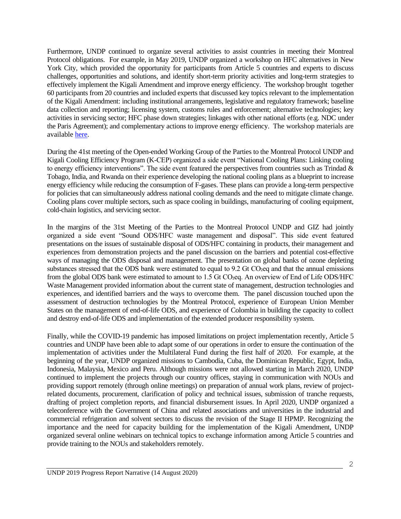Furthermore, UNDP continued to organize several activities to assist countries in meeting their Montreal Protocol obligations. For example, in May 2019, UNDP organized a workshop on HFC alternatives in New York City, which provided the opportunity for participants from Article 5 countries and experts to discuss challenges, opportunities and solutions, and identify short-term priority activities and long-term strategies to effectively implement the Kigali Amendment and improve energy efficiency. The workshop brought together 60 participants from 20 countries and included experts that discussed key topics relevant to the implementation of the Kigali Amendment: including institutional arrangements, legislative and regulatory framework; baseline data collection and reporting; licensing system, customs rules and enforcement; alternative technologies; key activities in servicing sector; HFC phase down strategies; linkages with other national efforts (e.g. NDC under the Paris Agreement); and complementary actions to improve energy efficiency. The workshop materials are available [here.](https://sites.google.com/view/undpworkshoponkigaliamendment/home.)

During the 41st meeting of the Open-ended Working Group of the Parties to the Montreal Protocol UNDP and Kigali Cooling Efficiency Program (K-CEP) organized a side event "National Cooling Plans: Linking cooling to energy efficiency interventions". The side event featured the perspectives from countries such as Trindad  $\&$ Tobago, India, and Rwanda on their experience developing the national cooling plans as a blueprint to increase energy efficiency while reducing the consumption of F-gases. These plans can provide a long-term perspective for policies that can simultaneously address national cooling demands and the need to mitigate climate change. Cooling plans cover multiple sectors, such as space cooling in buildings, manufacturing of cooling equipment, cold-chain logistics, and servicing sector.

In the margins of the 31st Meeting of the Parties to the Montreal Protocol UNDP and GIZ had jointly organized a side event "Sound ODS/HFC waste management and disposal". This side event featured presentations on the issues of sustainable disposal of ODS/HFC containing in products, their management and experiences from demonstration projects and the panel discussion on the barriers and potential cost-effective ways of managing the ODS disposal and management. The presentation on global banks of ozone depleting substances stressed that the ODS bank were estimated to equal to 9.2 Gt CO2eq and that the annual emissions from the global ODS bank were estimated to amount to 1.5 Gt CO<sub>2</sub>eq. An overview of End of Life ODS/HFC Waste Management provided information about the current state of management, destruction technologies and experiences, and identified barriers and the ways to overcome them. The panel discussion touched upon the assessment of destruction technologies by the Montreal Protocol, experience of European Union Member States on the management of end-of-life ODS, and experience of Colombia in building the capacity to collect and destroy end-of-life ODS and implementation of the extended producer responsibility system.

Finally, while the COVID-19 pandemic has imposed limitations on project implementation recently, Article 5 countries and UNDP have been able to adapt some of our operations in order to ensure the continuation of the implementation of activities under the Multilateral Fund during the first half of 2020. For example, at the beginning of the year, UNDP organized missions to Cambodia, Cuba, the Dominican Republic, Egypt, India, Indonesia, Malaysia, Mexico and Peru. Although missions were not allowed starting in March 2020, UNDP continued to implement the projects through our country offices, staying in communication with NOUs and providing support remotely (through online meetings) on preparation of annual work plans, review of projectrelated documents, procurement, clarification of policy and technical issues, submission of tranche requests, drafting of project completion reports, and financial disbursement issues. In April 2020, UNDP organized a teleconference with the Government of China and related associations and universities in the industrial and commercial refrigeration and solvent sectors to discuss the revision of the Stage II HPMP. Recognizing the importance and the need for capacity building for the implementation of the Kigali Amendment, UNDP organized several online webinars on technical topics to exchange information among Article 5 countries and provide training to the NOUs and stakeholders remotely.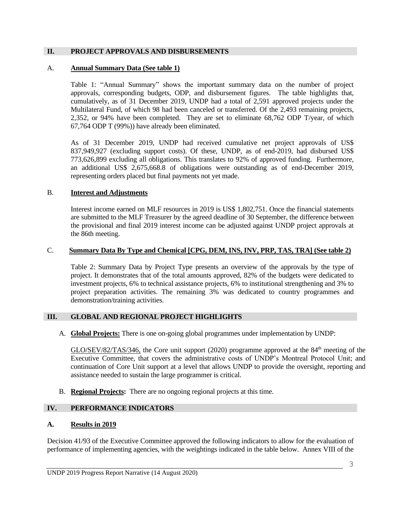#### **II. PROJECT APPROVALS AND DISBURSEMENTS**

#### A. **Annual Summary Data (See table 1)**

Table 1: "Annual Summary" shows the important summary data on the number of project approvals, corresponding budgets, ODP, and disbursement figures. The table highlights that, cumulatively, as of 31 December 2019, UNDP had a total of 2,591 approved projects under the Multilateral Fund, of which 98 had been canceled or transferred. Of the 2,493 remaining projects, 2,352, or 94% have been completed. They are set to eliminate 68,762 ODP T/year, of which 67,764 ODP T (99%)) have already been eliminated.

As of 31 December 2019, UNDP had received cumulative net project approvals of US\$ 837,949,927 (excluding support costs). Of these, UNDP, as of end-2019, had disbursed US\$ 773,626,899 excluding all obligations. This translates to 92% of approved funding. Furthermore, an additional US\$ 2,675,668.8 of obligations were outstanding as of end-December 2019, representing orders placed but final payments not yet made.

#### B. **Interest and Adjustments**

Interest income earned on MLF resources in 2019 is US\$ 1,802,751. Once the financial statements are submitted to the MLF Treasurer by the agreed deadline of 30 September, the difference between the provisional and final 2019 interest income can be adjusted against UNDP project approvals at the 86th meeting.

# C. **Summary Data By Type and Chemical [CPG, DEM, INS, INV, PRP, TAS, TRA] (See table 2)**

Table 2: Summary Data by Project Type presents an overview of the approvals by the type of project. It demonstrates that of the total amounts approved, 82% of the budgets were dedicated to investment projects, 6% to technical assistance projects, 6% to institutional strengthening and 3% to project preparation activities. The remaining 3% was dedicated to country programmes and demonstration/training activities.

# **III. GLOBAL AND REGIONAL PROJECT HIGHLIGHTS**

A. **Global Projects:** There is one on-going global programmes under implementation by UNDP:

GLO/SEV/82/TAS/346, the Core unit support (2020) programme approved at the 84<sup>th</sup> meeting of the Executive Committee, that covers the administrative costs of UNDP's Montreal Protocol Unit; and continuation of Core Unit support at a level that allows UNDP to provide the oversight, reporting and assistance needed to sustain the large programmer is critical.

B. **Regional Projects:** There are no ongoing regional projects at this time.

# **IV. PERFORMANCE INDICATORS**

# **A. Results in 2019**

Decision 41/93 of the Executive Committee approved the following indicators to allow for the evaluation of performance of implementing agencies, with the weightings indicated in the table below. Annex VIII of the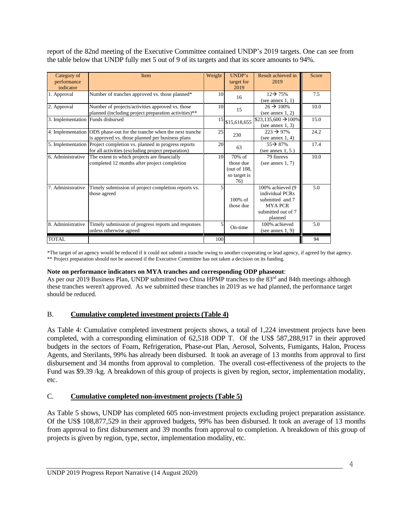report of the 82nd meeting of the Executive Committee contained UNDP's 2019 targets. One can see from the table below that UNDP fully met 5 out of 9 of its targets and that its score amounts to 94%.

| Category of<br>performance<br>indicator | <b>Item</b>                                                                                                                | Weight | UNDP's<br>target for<br>2019                                    | Result achieved in<br>2019                                                                                 | Score |
|-----------------------------------------|----------------------------------------------------------------------------------------------------------------------------|--------|-----------------------------------------------------------------|------------------------------------------------------------------------------------------------------------|-------|
| 1. Approval                             | Number of tranches approved vs. those planned*                                                                             | 10     | 16                                                              | $12 \rightarrow 75\%$<br>(see annex $1, 1$ )                                                               | 7.5   |
| 2. Approval                             | Number of projects/activities approved vs. those<br>planned (including project preparation activities)**                   | 10     | 15                                                              | $26 \rightarrow 100\%$<br>(see annex $1, 2$ )                                                              | 10.0  |
| 3. Implementation Funds disbursed       |                                                                                                                            | 15     | \$15,618,655                                                    | $$23,135,600 \rightarrow 100\%$<br>(see annex $1, 3$ )                                                     | 15.0  |
|                                         | 4. Implementation ODS phase-out for the tranche when the next tranche<br>is approved vs. those planned per business plans  | 25     | 230                                                             | $223 \rightarrow 97\%$<br>(see annex $1, 4$ )                                                              | 24.2  |
|                                         | 5. Implementation Project completion vs. planned in progress reports<br>for all activities (excluding project preparation) | 20     | 63                                                              | $55\rightarrow 87\%$<br>(see annex $1, 5$ )                                                                | 17.4  |
| 6. Administrative                       | The extent to which projects are financially<br>completed 12 months after project completion                               | 10     | $70%$ of<br>those due<br>(out of $108$ ,<br>so target is<br>76) | 79 finreys<br>(see annex $1, 7$ )                                                                          | 10.0  |
| 7. Administrative                       | Timely submission of project completion reports vs.<br>those agreed                                                        | 5      | $100\%$ of<br>those due                                         | 100% achieved (9)<br>individual PCRs<br>submitted and 7<br><b>MYA PCR</b><br>submitted out of 7<br>planned | 5.0   |
| 8. Administrative                       | Timely submission of progress reports and responses<br>unless otherwise agreed                                             | 5      | On-time                                                         | 100% achieved<br>(see annex $1, 9$ )                                                                       | 5.0   |
| <b>TOTAL</b>                            |                                                                                                                            | 100    |                                                                 |                                                                                                            | 94    |

\*The target of an agency would be reduced if it could not submit a tranche owing to another cooperating or lead agency, if agreed by that agency. \*\* Project preparation should not be assessed if the Executive Committee has not taken a decision on its funding.

#### **Note on performance indicators on MYA tranches and corresponding ODP phaseout**:

As per our 2019 Business Plan, UNDP submitted two China HPMP tranches to the 83<sup>rd</sup> and 84th meetings although these tranches weren't approved. As we submitted these tranches in 2019 as we had planned, the performance target should be reduced.

# B. **Cumulative completed investment projects (Table 4)**

As Table 4: Cumulative completed investment projects shows, a total of 1,224 investment projects have been completed, with a corresponding elimination of 62,518 ODP T. Of the US\$ 587,288,917 in their approved budgets in the sectors of Foam, Refrigeration, Phase-out Plan, Aerosol, Solvents, Fumigants, Halon, Process Agents, and Sterilants, 99% has already been disbursed. It took an average of 13 months from approval to first disbursement and 34 months from approval to completion. The overall cost-effectiveness of the projects to the Fund was \$9.39 /kg. A breakdown of this group of projects is given by region, sector, implementation modality, etc.

# C. **Cumulative completed non-investment projects (Table 5)**

As Table 5 shows, UNDP has completed 605 non-investment projects excluding project preparation assistance. Of the US\$ 108,877,529 in their approved budgets, 99% has been disbursed. It took an average of 13 months from approval to first disbursement and 39 months from approval to completion. A breakdown of this group of projects is given by region, type, sector, implementation modality, etc.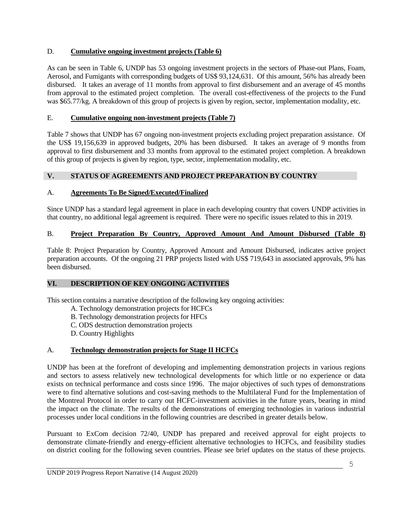# D. **Cumulative ongoing investment projects (Table 6)**

As can be seen in Table 6, UNDP has 53 ongoing investment projects in the sectors of Phase-out Plans, Foam, Aerosol, and Fumigants with corresponding budgets of US\$ 93,124,631. Of this amount, 56% has already been disbursed. It takes an average of 11 months from approval to first disbursement and an average of 45 months from approval to the estimated project completion. The overall cost-effectiveness of the projects to the Fund was \$65.77/kg. A breakdown of this group of projects is given by region, sector, implementation modality, etc.

# E. **Cumulative ongoing non-investment projects (Table 7)**

Table 7 shows that UNDP has 67 ongoing non-investment projects excluding project preparation assistance. Of the US\$ 19,156,639 in approved budgets, 20% has been disbursed. It takes an average of 9 months from approval to first disbursement and 33 months from approval to the estimated project completion. A breakdown of this group of projects is given by region, type, sector, implementation modality, etc.

# **V. STATUS OF AGREEMENTS AND PROJECT PREPARATION BY COUNTRY**

# A. **Agreements To Be Signed/Executed/Finalized**

Since UNDP has a standard legal agreement in place in each developing country that covers UNDP activities in that country, no additional legal agreement is required. There were no specific issues related to this in 2019.

# B. **Project Preparation By Country, Approved Amount And Amount Disbursed (Table 8)**

Table 8: Project Preparation by Country, Approved Amount and Amount Disbursed, indicates active project preparation accounts. Of the ongoing 21 PRP projects listed with US\$ 719,643 in associated approvals, 9% has been disbursed.

# **VI. DESCRIPTION OF KEY ONGOING ACTIVITIES**

This section contains a narrative description of the following key ongoing activities:

- A. Technology demonstration projects for HCFCs
- B. Technology demonstration projects for HFCs
- C. ODS destruction demonstration projects
- D. Country Highlights

# A. **Technology demonstration projects for Stage II HCFCs**

UNDP has been at the forefront of developing and implementing demonstration projects in various regions and sectors to assess relatively new technological developments for which little or no experience or data exists on technical performance and costs since 1996. The major objectives of such types of demonstrations were to find alternative solutions and cost-saving methods to the Multilateral Fund for the Implementation of the Montreal Protocol in order to carry out HCFC-investment activities in the future years, bearing in mind the impact on the climate. The results of the demonstrations of emerging technologies in various industrial processes under local conditions in the following countries are described in greater details below.

Pursuant to ExCom decision 72/40, UNDP has prepared and received approval for eight projects to demonstrate climate-friendly and energy-efficient alternative technologies to HCFCs, and feasibility studies on district cooling for the following seven countries. Please see brief updates on the status of these projects.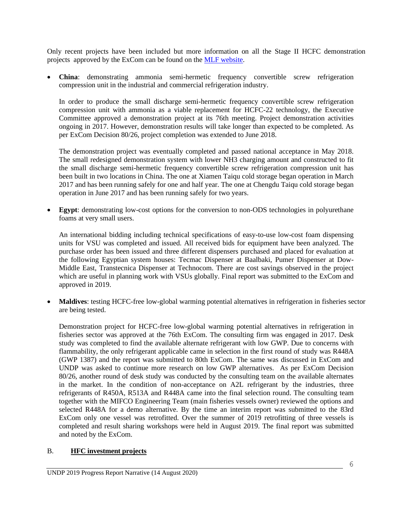Only recent projects have been included but more information on all the Stage II HCFC demonstration projects approved by the ExCom can be found o[n the MLF website.](http://www.multilateralfund.org/Our%20Work/DemonProject/default.aspx)

• **China**: demonstrating ammonia semi-hermetic frequency convertible screw refrigeration compression unit in the industrial and commercial refrigeration industry.

In order to produce the small discharge semi-hermetic frequency convertible screw refrigeration compression unit with ammonia as a viable replacement for HCFC-22 technology, the Executive Committee approved a demonstration project at its 76th meeting. Project demonstration activities ongoing in 2017. However, demonstration results will take longer than expected to be completed. As per ExCom Decision 80/26, project completion was extended to June 2018.

The demonstration project was eventually completed and passed national acceptance in May 2018. The small redesigned demonstration system with lower NH3 charging amount and constructed to fit the small discharge semi-hermetic frequency convertible screw refrigeration compression unit has been built in two locations in China. The one at Xiamen Taiqu cold storage began operation in March 2017 and has been running safely for one and half year. The one at Chengdu Taiqu cold storage began operation in June 2017 and has been running safely for two years.

**Egypt:** demonstrating low-cost options for the conversion to non-ODS technologies in polyurethane foams at very small users.

An international bidding including technical specifications of easy-to-use low-cost foam dispensing units for VSU was completed and issued. All received bids for equipment have been analyzed. The purchase order has been issued and three different dispensers purchased and placed for evaluation at the following Egyptian system houses: Tecmac Dispenser at Baalbaki, Pumer Dispenser at Dow-Middle East, Transtecnica Dispenser at Technocom. There are cost savings observed in the project which are useful in planning work with VSUs globally. Final report was submitted to the ExCom and approved in 2019.

• **Maldives**: testing HCFC-free low-global warming potential alternatives in refrigeration in fisheries sector are being tested.

Demonstration project for HCFC-free low-global warming potential alternatives in refrigeration in fisheries sector was approved at the 76th ExCom. The consulting firm was engaged in 2017. Desk study was completed to find the available alternate refrigerant with low GWP. Due to concerns with flammability, the only refrigerant applicable came in selection in the first round of study was R448A (GWP 1387) and the report was submitted to 80th ExCom. The same was discussed in ExCom and UNDP was asked to continue more research on low GWP alternatives. As per ExCom Decision 80/26, another round of desk study was conducted by the consulting team on the available alternates in the market. In the condition of non-acceptance on A2L refrigerant by the industries, three refrigerants of R450A, R513A and R448A came into the final selection round. The consulting team together with the MIFCO Engineering Team (main fisheries vessels owner) reviewed the options and selected R448A for a demo alternative. By the time an interim report was submitted to the 83rd ExCom only one vessel was retrofitted. Over the summer of 2019 retrofitting of three vessels is completed and result sharing workshops were held in August 2019. The final report was submitted and noted by the ExCom.

# B. **HFC investment projects**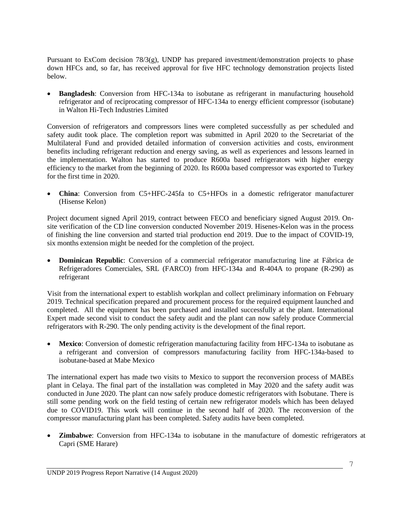Pursuant to ExCom decision 78/3(g), UNDP has prepared investment/demonstration projects to phase down HFCs and, so far, has received approval for five HFC technology demonstration projects listed below.

• **Bangladesh**: Conversion from HFC-134a to isobutane as refrigerant in manufacturing household refrigerator and of reciprocating compressor of HFC-134a to energy efficient compressor (isobutane) in Walton Hi-Tech Industries Limited

Conversion of refrigerators and compressors lines were completed successfully as per scheduled and safety audit took place. The completion report was submitted in April 2020 to the Secretariat of the Multilateral Fund and provided detailed information of conversion activities and costs, environment benefits including refrigerant reduction and energy saving, as well as experiences and lessons learned in the implementation. Walton has started to produce R600a based refrigerators with higher energy efficiency to the market from the beginning of 2020. Its R600a based compressor was exported to Turkey for the first time in 2020.

• **China**: Conversion from C5+HFC-245fa to C5+HFOs in a domestic refrigerator manufacturer (Hisense Kelon)

Project document signed April 2019, contract between FECO and beneficiary signed August 2019. Onsite verification of the CD line conversion conducted November 2019. Hisenes-Kelon was in the process of finishing the line conversion and started trial production end 2019. Due to the impact of COVID-19, six months extension might be needed for the completion of the project.

• **Dominican Republic**: Conversion of a commercial refrigerator manufacturing line at Fábrica de Refrigeradores Comerciales, SRL (FARCO) from HFC-134a and R-404A to propane (R-290) as refrigerant

Visit from the international expert to establish workplan and collect preliminary information on February 2019. Technical specification prepared and procurement process for the required equipment launched and completed. All the equipment has been purchased and installed successfully at the plant. International Expert made second visit to conduct the safety audit and the plant can now safely produce Commercial refrigerators with R-290. The only pending activity is the development of the final report.

• **Mexico**: Conversion of domestic refrigeration manufacturing facility from HFC-134a to isobutane as a refrigerant and conversion of compressors manufacturing facility from HFC-134a-based to isobutane-based at Mabe Mexico

The international expert has made two visits to Mexico to support the reconversion process of MABEs plant in Celaya. The final part of the installation was completed in May 2020 and the safety audit was conducted in June 2020. The plant can now safely produce domestic refrigerators with Isobutane. There is still some pending work on the field testing of certain new refrigerator models which has been delayed due to COVID19. This work will continue in the second half of 2020. The reconversion of the compressor manufacturing plant has been completed. Safety audits have been completed.

**Zimbabwe:** Conversion from HFC-134a to isobutane in the manufacture of domestic refrigerators at Capri (SME Harare)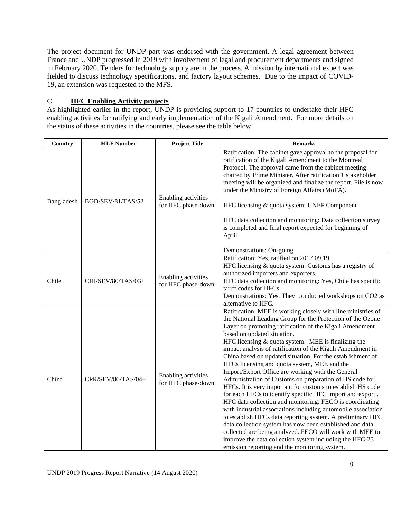The project document for UNDP part was endorsed with the government. A legal agreement between France and UNDP progressed in 2019 with involvement of legal and procurement departments and signed in February 2020. Tenders for technology supply are in the process. A mission by international expert was fielded to discuss technology specifications, and factory layout schemes. Due to the impact of COVID-19, an extension was requested to the MFS.

# C. **HFC Enabling Activity projects**

As highlighted earlier in the report, UNDP is providing support to 17 countries to undertake their HFC enabling activities for ratifying and early implementation of the Kigali Amendment. For more details on the status of these activities in the countries, please see the table below.

| Country    | <b>MLF Number</b>  | <b>Project Title</b>                      | <b>Remarks</b>                                                                                                                                                                                                                                                                                                                                                                                                                                                                                                                                                                                                                                                                                                                                                                                                                                                                                                                                                                                                                                                                                                                     |
|------------|--------------------|-------------------------------------------|------------------------------------------------------------------------------------------------------------------------------------------------------------------------------------------------------------------------------------------------------------------------------------------------------------------------------------------------------------------------------------------------------------------------------------------------------------------------------------------------------------------------------------------------------------------------------------------------------------------------------------------------------------------------------------------------------------------------------------------------------------------------------------------------------------------------------------------------------------------------------------------------------------------------------------------------------------------------------------------------------------------------------------------------------------------------------------------------------------------------------------|
| Bangladesh | BGD/SEV/81/TAS/52  | Enabling activities<br>for HFC phase-down | Ratification: The cabinet gave approval to the proposal for<br>ratification of the Kigali Amendment to the Montreal<br>Protocol. The approval came from the cabinet meeting<br>chaired by Prime Minister. After ratification 1 stakeholder<br>meeting will be organized and finalize the report. File is now<br>under the Ministry of Foreign Affairs (MoFA).<br>HFC licensing & quota system: UNEP Component<br>HFC data collection and monitoring: Data collection survey<br>is completed and final report expected for beginning of<br>April.<br>Demonstrations: On-going                                                                                                                                                                                                                                                                                                                                                                                                                                                                                                                                                       |
| Chile      | CHI/SEV/80/TAS/03+ | Enabling activities<br>for HFC phase-down | Ratification: Yes, ratified on 2017,09,19.<br>HFC licensing & quota system: Customs has a registry of<br>authorized importers and exporters.<br>HFC data collection and monitoring: Yes, Chile has specific<br>tariff codes for HFCs.<br>Demonstrations: Yes. They conducted workshops on CO2 as<br>alternative to HFC.                                                                                                                                                                                                                                                                                                                                                                                                                                                                                                                                                                                                                                                                                                                                                                                                            |
| China      | CPR/SEV/80/TAS/04+ | Enabling activities<br>for HFC phase-down | Ratification: MEE is working closely with line ministries of<br>the National Leading Group for the Protection of the Ozone<br>Layer on promoting ratification of the Kigali Amendment<br>based on updated situation.<br>HFC licensing & quota system: MEE is finalizing the<br>impact analysis of ratification of the Kigali Amendment in<br>China based on updated situation. For the establishment of<br>HFCs licensing and quota system, MEE and the<br>Import/Export Office are working with the General<br>Administration of Customs on preparation of HS code for<br>HFCs. It is very important for customs to establish HS code<br>for each HFCs to identify specific HFC import and export.<br>HFC data collection and monitoring: FECO is coordinating<br>with industrial associations including automobile association<br>to establish HFCs data reporting system. A preliminary HFC<br>data collection system has now been established and data<br>collected are being analyzed. FECO will work with MEE to<br>improve the data collection system including the HFC-23<br>emission reporting and the monitoring system. |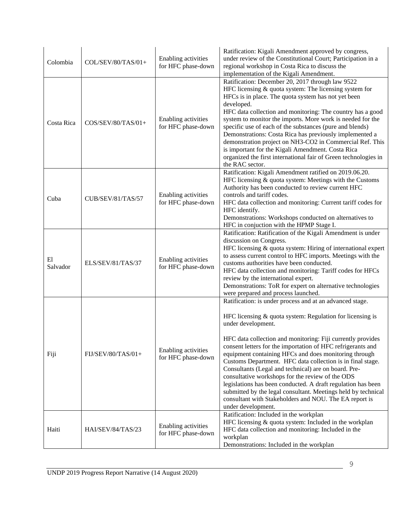| Colombia       | COL/SEV/80/TAS/01+ | Enabling activities<br>for HFC phase-down | Ratification: Kigali Amendment approved by congress,<br>under review of the Constitutional Court; Participation in a<br>regional workshop in Costa Rica to discuss the<br>implementation of the Kigali Amendment.                                                                                                                                                                                                                                                                                                                                                                                                                                                                                                                |
|----------------|--------------------|-------------------------------------------|----------------------------------------------------------------------------------------------------------------------------------------------------------------------------------------------------------------------------------------------------------------------------------------------------------------------------------------------------------------------------------------------------------------------------------------------------------------------------------------------------------------------------------------------------------------------------------------------------------------------------------------------------------------------------------------------------------------------------------|
| Costa Rica     | COS/SEV/80/TAS/01+ | Enabling activities<br>for HFC phase-down | Ratification: December 20, 2017 through law 9522<br>HFC licensing & quota system: The licensing system for<br>HFCs is in place. The quota system has not yet been<br>developed.<br>HFC data collection and monitoring: The country has a good<br>system to monitor the imports. More work is needed for the<br>specific use of each of the substances (pure and blends)<br>Demonstrations: Costa Rica has previously implemented a<br>demonstration project on NH3-CO2 in Commercial Ref. This<br>is important for the Kigali Amendment. Costa Rica<br>organized the first international fair of Green technologies in<br>the RAC sector.                                                                                        |
| Cuba           | CUB/SEV/81/TAS/57  | Enabling activities<br>for HFC phase-down | Ratification: Kigali Amendment ratified on 2019.06.20.<br>HFC licensing & quota system: Meetings with the Customs<br>Authority has been conducted to review current HFC<br>controls and tariff codes.<br>HFC data collection and monitoring: Current tariff codes for<br>HFC identify.<br>Demonstrations: Workshops conducted on alternatives to<br>HFC in conjuction with the HPMP Stage I.                                                                                                                                                                                                                                                                                                                                     |
| E1<br>Salvador | ELS/SEV/81/TAS/37  | Enabling activities<br>for HFC phase-down | Ratification: Ratification of the Kigali Amendment is under<br>discussion on Congress.<br>HFC licensing & quota system: Hiring of international expert<br>to assess current control to HFC imports. Meetings with the<br>customs authorities have been conducted.<br>HFC data collection and monitoring: Tariff codes for HFCs<br>review by the international expert.<br>Demonstrations: ToR for expert on alternative technologies<br>were prepared and process launched.                                                                                                                                                                                                                                                       |
| Fiji           | FIJ/SEV/80/TAS/01+ | Enabling activities<br>for HFC phase-down | Ratification: is under process and at an advanced stage.<br>HFC licensing $\&$ quota system: Regulation for licensing is<br>under development.<br>HFC data collection and monitoring: Fiji currently provides<br>consent letters for the importation of HFC refrigerants and<br>equipment containing HFCs and does monitoring through<br>Customs Department. HFC data collection is in final stage.<br>Consultants (Legal and technical) are on board. Pre-<br>consultative workshops for the review of the ODS<br>legislations has been conducted. A draft regulation has been<br>submitted by the legal consultant. Meetings held by technical<br>consultant with Stakeholders and NOU. The EA report is<br>under development. |
| Haiti          | HAI/SEV/84/TAS/23  | Enabling activities<br>for HFC phase-down | Ratification: Included in the workplan<br>HFC licensing & quota system: Included in the workplan<br>HFC data collection and monitoring: Included in the<br>workplan<br>Demonstrations: Included in the workplan                                                                                                                                                                                                                                                                                                                                                                                                                                                                                                                  |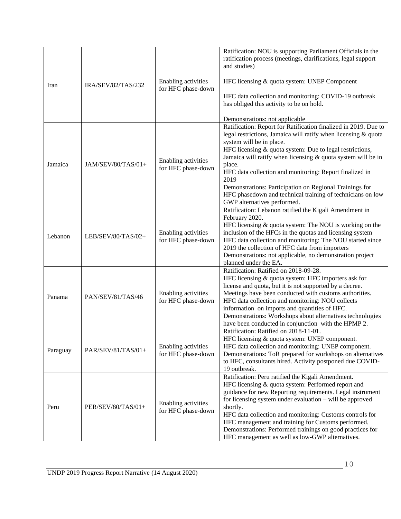| Iran     | IRA/SEV/82/TAS/232 | Enabling activities<br>for HFC phase-down | Ratification: NOU is supporting Parliament Officials in the<br>ratification process (meetings, clarifications, legal support<br>and studies)<br>HFC licensing & quota system: UNEP Component<br>HFC data collection and monitoring: COVID-19 outbreak<br>has obliged this activity to be on hold.<br>Demonstrations: not applicable                                                                                                                                                                                            |
|----------|--------------------|-------------------------------------------|--------------------------------------------------------------------------------------------------------------------------------------------------------------------------------------------------------------------------------------------------------------------------------------------------------------------------------------------------------------------------------------------------------------------------------------------------------------------------------------------------------------------------------|
| Jamaica  | JAM/SEV/80/TAS/01+ | Enabling activities<br>for HFC phase-down | Ratification: Report for Ratification finalized in 2019. Due to<br>legal restrictions, Jamaica will ratify when licensing & quota<br>system will be in place.<br>HFC licensing & quota system: Due to legal restrictions,<br>Jamaica will ratify when licensing & quota system will be in<br>place.<br>HFC data collection and monitoring: Report finalized in<br>2019<br>Demonstrations: Participation on Regional Trainings for<br>HFC phasedown and technical training of technicians on low<br>GWP alternatives performed. |
| Lebanon  | LEB/SEV/80/TAS/02+ | Enabling activities<br>for HFC phase-down | Ratification: Lebanon ratified the Kigali Amendment in<br>February 2020.<br>HFC licensing $\&$ quota system: The NOU is working on the<br>inclusion of the HFCs in the quotas and licensing system<br>HFC data collection and monitoring: The NOU started since<br>2019 the collection of HFC data from importers<br>Demonstrations: not applicable, no demonstration project<br>planned under the EA.                                                                                                                         |
| Panama   | PAN/SEV/81/TAS/46  | Enabling activities<br>for HFC phase-down | Ratification: Ratified on 2018-09-28.<br>HFC licensing & quota system: HFC importers ask for<br>license and quota, but it is not supported by a decree.<br>Meetings have been conducted with customs authorities.<br>HFC data collection and monitoring: NOU collects<br>information on imports and quantities of HFC.<br>Demonstrations: Workshops about alternatives technologies<br>have been conducted in conjunction with the HPMP 2.                                                                                     |
| Paraguay | PAR/SEV/81/TAS/01+ | Enabling activities<br>for HFC phase-down | Ratification: Ratified on 2018-11-01.<br>HFC licensing & quota system: UNEP component.<br>HFC data collection and monitoring: UNEP component.<br>Demonstrations: ToR prepared for workshops on alternatives<br>to HFC, consultants hired. Activity postponed due COVID-<br>19 outbreak.                                                                                                                                                                                                                                        |
| Peru     | PER/SEV/80/TAS/01+ | Enabling activities<br>for HFC phase-down | Ratification: Peru ratified the Kigali Amendment.<br>HFC licensing & quota system: Performed report and<br>guidance for new Reporting requirements. Legal instrument<br>for licensing system under evaluation - will be approved<br>shortly.<br>HFC data collection and monitoring: Customs controls for<br>HFC management and training for Customs performed.<br>Demonstrations: Performed trainings on good practices for<br>HFC management as well as low-GWP alternatives.                                                 |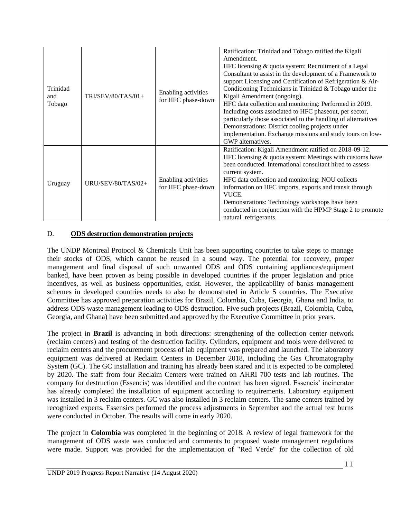| Trinidad<br>and<br>Tobago | $TRI/SEV/80/TAS/01+$ | Enabling activities<br>for HFC phase-down | Ratification: Trinidad and Tobago ratified the Kigali<br>Amendment.<br>HFC licensing & quota system: Recruitment of a Legal<br>Consultant to assist in the development of a Framework to<br>support Licensing and Certification of Refrigeration & Air-<br>Conditioning Technicians in Trinidad & Tobago under the<br>Kigali Amendment (ongoing).<br>HFC data collection and monitoring: Performed in 2019.<br>Including costs associated to HFC phaseout, per sector,<br>particularly those associated to the handling of alternatives<br>Demonstrations: District cooling projects under<br>implementation. Exchange missions and study tours on low-<br>GWP alternatives. |
|---------------------------|----------------------|-------------------------------------------|------------------------------------------------------------------------------------------------------------------------------------------------------------------------------------------------------------------------------------------------------------------------------------------------------------------------------------------------------------------------------------------------------------------------------------------------------------------------------------------------------------------------------------------------------------------------------------------------------------------------------------------------------------------------------|
| Uruguay                   | URU/SEV/80/TAS/02+   | Enabling activities<br>for HFC phase-down | Ratification: Kigali Amendment ratified on 2018-09-12.<br>HFC licensing & quota system: Meetings with customs have<br>been conducted. International consultant hired to assess<br>current system.<br>HFC data collection and monitoring: NOU collects<br>information on HFC imports, exports and transit through<br>VUCE.<br>Demonstrations: Technology workshops have been<br>conducted in conjunction with the HPMP Stage 2 to promote<br>natural refrigerants.                                                                                                                                                                                                            |

# D. **ODS destruction demonstration projects**

The UNDP Montreal Protocol & Chemicals Unit has been supporting countries to take steps to manage their stocks of ODS, which cannot be reused in a sound way. The potential for recovery, proper management and final disposal of such unwanted ODS and ODS containing appliances/equipment banked, have been proven as being possible in developed countries if the proper legislation and price incentives, as well as business opportunities, exist. However, the applicability of banks management schemes in developed countries needs to also be demonstrated in Article 5 countries. The Executive Committee has approved preparation activities for Brazil, Colombia, Cuba, Georgia, Ghana and India, to address ODS waste management leading to ODS destruction. Five such projects (Brazil, Colombia, Cuba, Georgia, and Ghana) have been submitted and approved by the Executive Committee in prior years.

The project in **Brazil** is advancing in both directions: strengthening of the collection center network (reclaim centers) and testing of the destruction facility. Cylinders, equipment and tools were delivered to reclaim centers and the procurement process of lab equipment was prepared and launched. The laboratory equipment was delivered at Reclaim Centers in December 2018, including the Gas Chromatography System (GC). The GC installation and training has already been stared and it is expected to be completed by 2020. The staff from four Reclaim Centers were trained on AHRI 700 tests and lab routines. The company for destruction (Essencis) was identified and the contract has been signed. Essencis' incinerator has already completed the installation of equipment according to requirements. Laboratory equipment was installed in 3 reclaim centers. GC was also installed in 3 reclaim centers. The same centers trained by recognized experts. Essensics performed the process adjustments in September and the actual test burns were conducted in October. The results will come in early 2020.

The project in **Colombia** was completed in the beginning of 2018. A review of legal framework for the management of ODS waste was conducted and comments to proposed waste management regulations were made. Support was provided for the implementation of "Red Verde" for the collection of old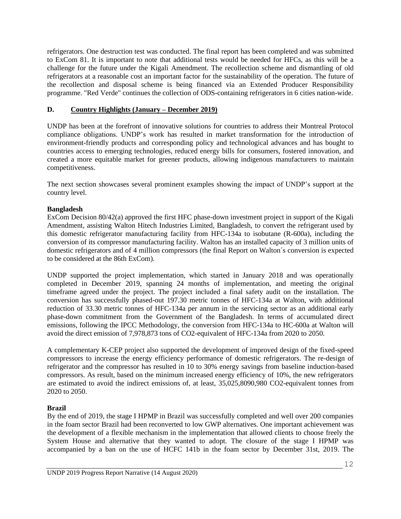refrigerators. One destruction test was conducted. The final report has been completed and was submitted to ExCom 81. It is important to note that additional tests would be needed for HFCs, as this will be a challenge for the future under the Kigali Amendment. The recollection scheme and dismantling of old refrigerators at a reasonable cost an important factor for the sustainability of the operation. The future of the recollection and disposal scheme is being financed via an Extended Producer Responsibility programme. "Red Verde" continues the collection of ODS-containing refrigerators in 6 cities nation-wide.

# **D. Country Highlights (January – December 2019)**

UNDP has been at the forefront of innovative solutions for countries to address their Montreal Protocol compliance obligations. UNDP's work has resulted in market transformation for the introduction of environment-friendly products and corresponding policy and technological advances and has bought to countries access to emerging technologies, reduced energy bills for consumers, fostered innovation, and created a more equitable market for greener products, allowing indigenous manufacturers to maintain competitiveness.

The next section showcases several prominent examples showing the impact of UNDP's support at the country level.

# **Bangladesh**

ExCom Decision 80/42(a) approved the first HFC phase-down investment project in support of the Kigali Amendment, assisting Walton Hitech Industries Limited, Bangladesh, to convert the refrigerant used by this domestic refrigerator manufacturing facility from HFC-134a to isobutane (R-600a), including the conversion of its compressor manufacturing facility. Walton has an installed capacity of 3 million units of domestic refrigerators and of 4 million compressors (the final Report on Walton´s conversion is expected to be considered at the 86th ExCom).

UNDP supported the project implementation, which started in January 2018 and was operationally completed in December 2019, spanning 24 months of implementation, and meeting the original timeframe agreed under the project. The project included a final safety audit on the installation. The conversion has successfully phased-out 197.30 metric tonnes of HFC-134a at Walton, with additional reduction of 33.30 metric tonnes of HFC-134a per annum in the servicing sector as an additional early phase-down commitment from the Government of the Bangladesh. In terms of accumulated direct emissions, following the IPCC Methodology, the conversion from HFC-134a to HC-600a at Walton will avoid the direct emission of 7,978,873 tons of CO2-equivalent of HFC-134a from 2020 to 2050.

A complementary K-CEP project also supported the development of improved design of the fixed-speed compressors to increase the energy efficiency performance of domestic refrigerators. The re-design of refrigerator and the compressor has resulted in 10 to 30% energy savings from baseline induction-based compressors. As result, based on the minimum increased energy efficiency of 10%, the new refrigerators are estimated to avoid the indirect emissions of, at least, 35,025,8090,980 CO2-equivalent tonnes from 2020 to 2050.

# **Brazil**

By the end of 2019, the stage I HPMP in Brazil was successfully completed and well over 200 companies in the foam sector Brazil had been reconverted to low GWP alternatives. One important achievement was the development of a flexible mechanism in the implementation that allowed clients to choose freely the System House and alternative that they wanted to adopt. The closure of the stage I HPMP was accompanied by a ban on the use of HCFC 141b in the foam sector by December 31st, 2019. The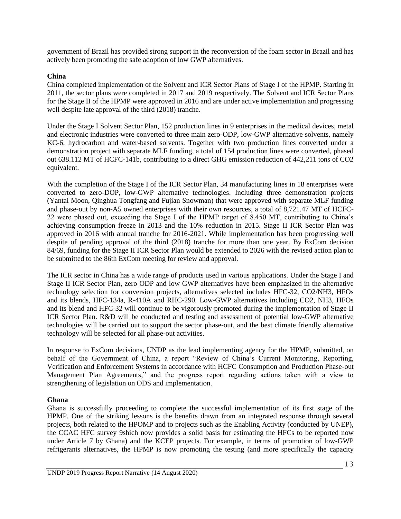government of Brazil has provided strong support in the reconversion of the foam sector in Brazil and has actively been promoting the safe adoption of low GWP alternatives.

#### **China**

China completed implementation of the Solvent and ICR Sector Plans of Stage I of the HPMP. Starting in 2011, the sector plans were completed in 2017 and 2019 respectively. The Solvent and ICR Sector Plans for the Stage II of the HPMP were approved in 2016 and are under active implementation and progressing well despite late approval of the third (2018) tranche.

Under the Stage I Solvent Sector Plan, 152 production lines in 9 enterprises in the medical devices, metal and electronic industries were converted to three main zero-ODP, low-GWP alternative solvents, namely KC-6, hydrocarbon and water-based solvents. Together with two production lines converted under a demonstration project with separate MLF funding, a total of 154 production lines were converted, phased out 638.112 MT of HCFC-141b, contributing to a direct GHG emission reduction of 442,211 tons of CO2 equivalent.

With the completion of the Stage I of the ICR Sector Plan, 34 manufacturing lines in 18 enterprises were converted to zero-DOP, low-GWP alternative technologies. Including three demonstration projects (Yantai Moon, Qinghua Tongfang and Fujian Snowman) that were approved with separate MLF funding and phase-out by non-A5 owned enterprises with their own resources, a total of 8,721.47 MT of HCFC-22 were phased out, exceeding the Stage I of the HPMP target of 8.450 MT, contributing to China's achieving consumption freeze in 2013 and the 10% reduction in 2015. Stage II ICR Sector Plan was approved in 2016 with annual tranche for 2016-2021. While implementation has been progressing well despite of pending approval of the third (2018) tranche for more than one year. By ExCom decision 84/69, funding for the Stage II ICR Sector Plan would be extended to 2026 with the revised action plan to be submitted to the 86th ExCom meeting for review and approval.

The ICR sector in China has a wide range of products used in various applications. Under the Stage I and Stage II ICR Sector Plan, zero ODP and low GWP alternatives have been emphasized in the alternative technology selection for conversion projects, alternatives selected includes HFC-32, CO2/NH3, HFOs and its blends, HFC-134a, R-410A and RHC-290. Low-GWP alternatives including CO2, NH3, HFOs and its blend and HFC-32 will continue to be vigorously promoted during the implementation of Stage II ICR Sector Plan. R&D will be conducted and testing and assessment of potential low-GWP alternative technologies will be carried out to support the sector phase-out, and the best climate friendly alternative technology will be selected for all phase-out activities.

In response to ExCom decisions, UNDP as the lead implementing agency for the HPMP, submitted, on behalf of the Government of China, a report "Review of China's Current Monitoring, Reporting, Verification and Enforcement Systems in accordance with HCFC Consumption and Production Phase-out Management Plan Agreements," and the progress report regarding actions taken with a view to strengthening of legislation on ODS and implementation.

#### **Ghana**

Ghana is successfully proceeding to complete the successful implementation of its first stage of the HPMP. One of the striking lessons is the benefits drawn from an integrated response through several projects, both related to the HPOMP and to projects such as the Enabling Activity (conducted by UNEP), the CCAC HFC survey 9shich now provides a solid basis for estimating the HFCs to be reported now under Article 7 by Ghana) and the KCEP projects. For example, in terms of promotion of low-GWP refrigerants alternatives, the HPMP is now promoting the testing (and more specifically the capacity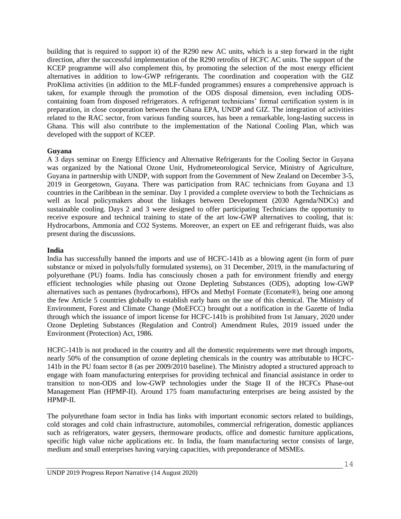building that is required to support it) of the R290 new AC units, which is a step forward in the right direction, after the successful implementation of the R290 retrofits of HCFC AC units. The support of the KCEP programme will also complement this, by promoting the selection of the most energy efficient alternatives in addition to low-GWP refrigerants. The coordination and cooperation with the GIZ ProKlima activities (in addition to the MLF-funded programmes) ensures a comprehensive approach is taken, for example through the promotion of the ODS disposal dimension, even including ODScontaining foam from disposed refrigerators. A refrigerant technicians' formal certification system is in preparation, in close cooperation between the Ghana EPA, UNDP and GIZ. The integration of activities related to the RAC sector, from various funding sources, has been a remarkable, long-lasting success in Ghana. This will also contribute to the implementation of the National Cooling Plan, which was developed with the support of KCEP.

#### **Guyana**

A 3 days seminar on Energy Efficiency and Alternative Refrigerants for the Cooling Sector in Guyana was organized by the National Ozone Unit, Hydrometeorological Service, Ministry of Agriculture, Guyana in partnership with UNDP, with support from the Government of New Zealand on December 3-5, 2019 in Georgetown, Guyana. There was participation from RAC technicians from Guyana and 13 countries in the Caribbean in the seminar. Day 1 provided a complete overview to both the Technicians as well as local policymakers about the linkages between Development (2030 Agenda/NDCs) and sustainable cooling. Days 2 and 3 were designed to offer participating Technicians the opportunity to receive exposure and technical training to state of the art low-GWP alternatives to cooling, that is: Hydrocarbons, Ammonia and CO2 Systems. Moreover, an expert on EE and refrigerant fluids, was also present during the discussions.

#### **India**

India has successfully banned the imports and use of HCFC-141b as a blowing agent (in form of pure substance or mixed in polyols/fully formulated systems), on 31 December, 2019, in the manufacturing of polyurethane (PU) foams. India has consciously chosen a path for environment friendly and energy efficient technologies while phasing out Ozone Depleting Substances (ODS), adopting low-GWP alternatives such as pentanes (hydrocarbons), HFOs and Methyl Formate (Ecomate®), being one among the few Article 5 countries globally to establish early bans on the use of this chemical. The Ministry of Environment, Forest and Climate Change (MoEFCC) brought out a notification in the Gazette of India through which the issuance of import license for HCFC-141b is prohibited from 1st January, 2020 under Ozone Depleting Substances (Regulation and Control) Amendment Rules, 2019 issued under the Environment (Protection) Act, 1986.

HCFC-141b is not produced in the country and all the domestic requirements were met through imports, nearly 50% of the consumption of ozone depleting chemicals in the country was attributable to HCFC-141b in the PU foam sector 8 (as per 2009/2010 baseline). The Ministry adopted a structured approach to engage with foam manufacturing enterprises for providing technical and financial assistance in order to transition to non-ODS and low-GWP technologies under the Stage II of the HCFCs Phase-out Management Plan (HPMP-II). Around 175 foam manufacturing enterprises are being assisted by the HPMP-II.

The polyurethane foam sector in India has links with important economic sectors related to buildings, cold storages and cold chain infrastructure, automobiles, commercial refrigeration, domestic appliances such as refrigerators, water geysers, thermoware products, office and domestic furniture applications, specific high value niche applications etc. In India, the foam manufacturing sector consists of large, medium and small enterprises having varying capacities, with preponderance of MSMEs.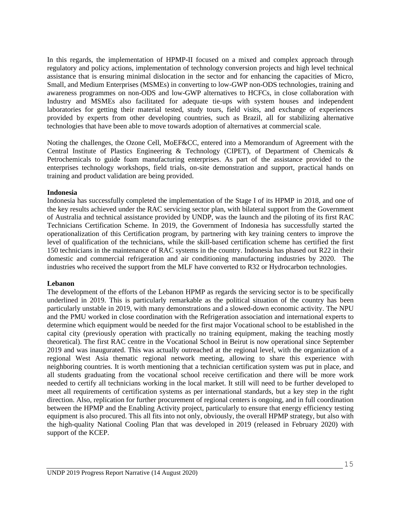In this regards, the implementation of HPMP-II focused on a mixed and complex approach through regulatory and policy actions, implementation of technology conversion projects and high level technical assistance that is ensuring minimal dislocation in the sector and for enhancing the capacities of Micro, Small, and Medium Enterprises (MSMEs) in converting to low-GWP non-ODS technologies, training and awareness programmes on non-ODS and low-GWP alternatives to HCFCs, in close collaboration with Industry and MSMEs also facilitated for adequate tie-ups with system houses and independent laboratories for getting their material tested, study tours, field visits, and exchange of experiences provided by experts from other developing countries, such as Brazil, all for stabilizing alternative technologies that have been able to move towards adoption of alternatives at commercial scale.

Noting the challenges, the Ozone Cell, MoEF&CC, entered into a Memorandum of Agreement with the Central Institute of Plastics Engineering & Technology (CIPET), of Department of Chemicals & Petrochemicals to guide foam manufacturing enterprises. As part of the assistance provided to the enterprises technology workshops, field trials, on-site demonstration and support, practical hands on training and product validation are being provided.

#### **Indonesia**

Indonesia has successfully completed the implementation of the Stage I of its HPMP in 2018, and one of the key results achieved under the RAC servicing sector plan, with bilateral support from the Government of Australia and technical assistance provided by UNDP, was the launch and the piloting of its first RAC Technicians Certification Scheme. In 2019, the Government of Indonesia has successfully started the operationalization of this Certification program, by partnering with key training centers to improve the level of qualification of the technicians, while the skill-based certification scheme has certified the first 150 technicians in the maintenance of RAC systems in the country. Indonesia has phased out R22 in their domestic and commercial refrigeration and air conditioning manufacturing industries by 2020. The industries who received the support from the MLF have converted to R32 or Hydrocarbon technologies.

#### **Lebanon**

The development of the efforts of the Lebanon HPMP as regards the servicing sector is to be specifically underlined in 2019. This is particularly remarkable as the political situation of the country has been particularly unstable in 2019, with many demonstrations and a slowed-down economic activity. The NPU and the PMU worked in close coordination with the Refrigeration association and international experts to determine which equipment would be needed for the first major Vocational school to be established in the capital city (previously operation with practically no training equipment, making the teaching mostly theoretical). The first RAC centre in the Vocational School in Beirut is now operational since September 2019 and was inaugurated. This was actually outreached at the regional level, with the organization of a regional West Asia thematic regional network meeting, allowing to share this experience with neighboring countries. It is worth mentioning that a technician certification system was put in place, and all students graduating from the vocational school receive certification and there will be more work needed to certify all technicians working in the local market. It still will need to be further developed to meet all requirements of certification systems as per international standards, but a key step in the right direction. Also, replication for further procurement of regional centers is ongoing, and in full coordination between the HPMP and the Enabling Activity project, particularly to ensure that energy efficiency testing equipment is also procured. This all fits into not only, obviously, the overall HPMP strategy, but also with the high-quality National Cooling Plan that was developed in 2019 (released in February 2020) with support of the KCEP.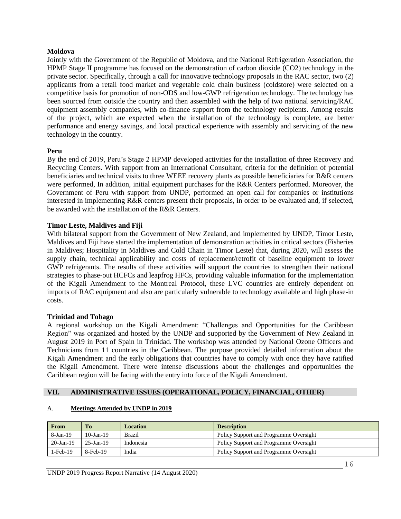#### **Moldova**

Jointly with the Government of the Republic of Moldova, and the National Refrigeration Association, the HPMP Stage II programme has focused on the demonstration of carbon dioxide (CO2) technology in the private sector. Specifically, through a call for innovative technology proposals in the RAC sector, two (2) applicants from a retail food market and vegetable cold chain business (coldstore) were selected on a competitive basis for promotion of non-ODS and low-GWP refrigeration technology. The technology has been sourced from outside the country and then assembled with the help of two national servicing/RAC equipment assembly companies, with co-finance support from the technology recipients. Among results of the project, which are expected when the installation of the technology is complete, are better performance and energy savings, and local practical experience with assembly and servicing of the new technology in the country.

#### **Peru**

By the end of 2019, Peru's Stage 2 HPMP developed activities for the installation of three Recovery and Recycling Centers. With support from an International Consultant, criteria for the definition of potential beneficiaries and technical visits to three WEEE recovery plants as possible beneficiaries for R&R centers were performed, In addition, initial equipment purchases for the R&R Centers performed. Moreover, the Government of Peru with support from UNDP, performed an open call for companies or institutions interested in implementing R&R centers present their proposals, in order to be evaluated and, if selected, be awarded with the installation of the R&R Centers.

#### **Timor Leste, Maldives and Fiji**

With bilateral support from the Government of New Zealand, and implemented by UNDP, Timor Leste, Maldives and Fiji have started the implementation of demonstration activities in critical sectors (Fisheries in Maldives; Hospitality in Maldives and Cold Chain in Timor Leste) that, during 2020, will assess the supply chain, technical applicability and costs of replacement/retrofit of baseline equipment to lower GWP refrigerants. The results of these activities will support the countries to strengthen their national strategies to phase-out HCFCs and leapfrog HFCs, providing valuable information for the implementation of the Kigali Amendment to the Montreal Protocol, these LVC countries are entirely dependent on imports of RAC equipment and also are particularly vulnerable to technology available and high phase-in costs.

#### **Trinidad and Tobago**

A regional workshop on the Kigali Amendment: "Challenges and Opportunities for the Caribbean Region" was organized and hosted by the UNDP and supported by the Government of New Zealand in August 2019 in Port of Spain in Trinidad. The workshop was attended by National Ozone Officers and Technicians from 11 countries in the Caribbean. The purpose provided detailed information about the Kigali Amendment and the early obligations that countries have to comply with once they have ratified the Kigali Amendment. There were intense discussions about the challenges and opportunities the Caribbean region will be facing with the entry into force of the Kigali Amendment.

#### **VII. ADMINISTRATIVE ISSUES (OPERATIONAL, POLICY, FINANCIAL, OTHER)**

#### A. **Meetings Attended by UNDP in 2019**

| From        | T <sub>o</sub> | <b>Location</b> | <b>Description</b>                     |
|-------------|----------------|-----------------|----------------------------------------|
| $8-Jan-19$  | $10$ -Jan-19   | Brazil          | Policy Support and Programme Oversight |
| $20-Jan-19$ | $25$ -Jan-19   | Indonesia       | Policy Support and Programme Oversight |
| $1-Feh-19$  | $8$ -Feb-19    | India           | Policy Support and Programme Oversight |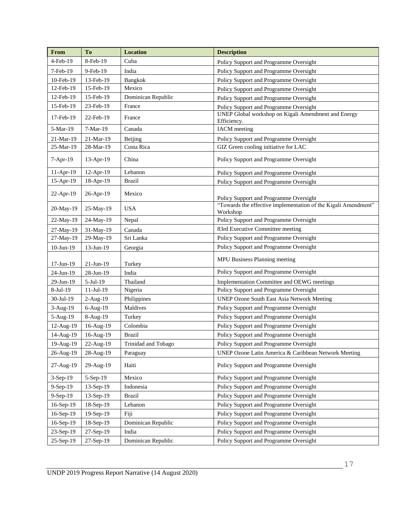| From            | To           | <b>Location</b>     | <b>Description</b>                                                         |
|-----------------|--------------|---------------------|----------------------------------------------------------------------------|
| 4-Feb-19        | 8-Feb-19     | Cuba                | Policy Support and Programme Oversight                                     |
| 7-Feb-19        | 9-Feb-19     | India               | Policy Support and Programme Oversight                                     |
| 10-Feb-19       | 13-Feb-19    | Bangkok             | Policy Support and Programme Oversight                                     |
| 12-Feb-19       | 15-Feb-19    | Mexico              | Policy Support and Programme Oversight                                     |
| 12-Feb-19       | 15-Feb-19    | Dominican Republic  | Policy Support and Programme Oversight                                     |
| 15-Feb-19       | 23-Feb-19    | France              | Policy Support and Programme Oversight                                     |
| 17-Feb-19       | 22-Feb-19    | France              | UNEP Global workshop on Kigali Amendment and Energy<br>Efficiency.         |
| 5-Mar-19        | 7-Mar-19     | Canada              | <b>IACM</b> meeting                                                        |
| 21-Mar-19       | 21-Mar-19    | Beijing             | Policy Support and Programme Oversight                                     |
| 25-Mar-19       | 28-Mar-19    | Costa Rica          | GIZ Green cooling initiative for LAC                                       |
| $7-Apr-19$      | $13-Apr-19$  | China               | Policy Support and Programme Oversight                                     |
| 11-Apr-19       | 12-Apr-19    | Lebanon             | Policy Support and Programme Oversight                                     |
| 15-Apr-19       | 18-Apr-19    | <b>Brazil</b>       | Policy Support and Programme Oversight                                     |
|                 |              | Mexico              |                                                                            |
| 22-Apr-19       | 26-Apr-19    |                     | Policy Support and Programme Oversight                                     |
| 20-May-19       | 25-May-19    | <b>USA</b>          | "Towards the effective implementation of the Kigali Amendment"<br>Workshop |
| 22-May-19       | 24-May-19    | Nepal               | Policy Support and Programme Oversight                                     |
| 27-May-19       | 31-May-19    | Canada              | 83rd Executive Committee meeting                                           |
| 27-May-19       | 29-May-19    | Sri Lanka           | Policy Support and Programme Oversight                                     |
| $10$ -Jun- $19$ | 13-Jun-19    | Georgia             | Policy Support and Programme Oversight                                     |
| $17$ -Jun- $19$ | $21$ -Jun-19 | Turkey              | MPU Business Planning meeting                                              |
| 24-Jun-19       | 28-Jun-19    | India               | Policy Support and Programme Oversight                                     |
| 29-Jun-19       | $5-Jul-19$   | Thailand            | Implementation Committee and OEWG meetings                                 |
| 8-Jul-19        | 11-Jul-19    | Nigeria             | Policy Support and Programme Oversight                                     |
| 30-Jul-19       | $2-Aug-19$   | Philippines         | <b>UNEP Ozone South East Asia Network Meeting</b>                          |
| 3-Aug-19        | 6-Aug-19     | Maldives            | Policy Support and Programme Oversight                                     |
| 5-Aug-19        | 8-Aug-19     | Turkey              | Policy Support and Programme Oversight                                     |
| 12-Aug-19       | 16-Aug-19    | Colombia            | Policy Support and Programme Oversight                                     |
| 14-Aug-19       | 16-Aug-19    | <b>Brazil</b>       | Policy Support and Programme Oversight                                     |
| 19-Aug-19       | 22-Aug-19    | Trinidad and Tobago | Policy Support and Programme Oversight                                     |
| 26-Aug-19       | 28-Aug-19    | Paraguay            | UNEP Ozone Latin America & Caribbean Network Meeting                       |
| 27-Aug-19       | 29-Aug-19    | Haiti               | Policy Support and Programme Oversight                                     |
| 3-Sep-19        | $5-Sep-19$   | Mexico              | Policy Support and Programme Oversight                                     |
| 9-Sep-19        | 13-Sep-19    | Indonesia           | Policy Support and Programme Oversight                                     |
| 9-Sep-19        | 13-Sep-19    | <b>Brazil</b>       | Policy Support and Programme Oversight                                     |
| 16-Sep-19       | 18-Sep-19    | Lebanon             | Policy Support and Programme Oversight                                     |
| 16-Sep-19       | 19-Sep-19    | Fiji                | Policy Support and Programme Oversight                                     |
| 16-Sep-19       | 18-Sep-19    | Dominican Republic  | Policy Support and Programme Oversight                                     |
| 23-Sep-19       | 27-Sep-19    | India               | Policy Support and Programme Oversight                                     |
| 25-Sep-19       | 27-Sep-19    | Dominican Republic  | Policy Support and Programme Oversight                                     |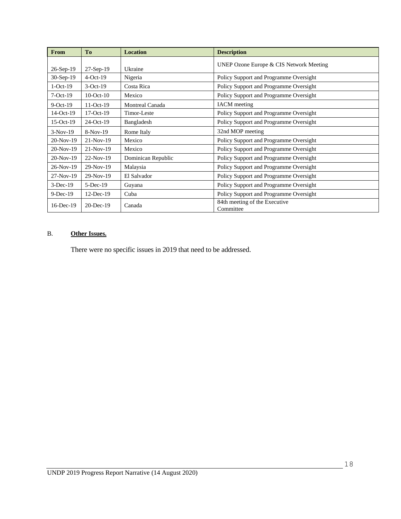| From            | <b>To</b>       | <b>Location</b>    | <b>Description</b>                         |
|-----------------|-----------------|--------------------|--------------------------------------------|
| 26-Sep-19       | $27-Sep-19$     | Ukraine            | UNEP Ozone Europe & CIS Network Meeting    |
| $30-Sep-19$     | $4-Oct-19$      | Nigeria            | Policy Support and Programme Oversight     |
| $1-Oct-19$      | $3-Oct-19$      | Costa Rica         | Policy Support and Programme Oversight     |
| $7-Oct-19$      | $10$ -Oct- $10$ | Mexico             | Policy Support and Programme Oversight     |
| $9$ -Oct-19     | $11-Oct-19$     | Montreal Canada    | <b>IACM</b> meeting                        |
| $14-Oct-19$     | $17-Oct-19$     | Timor-Leste        | Policy Support and Programme Oversight     |
| $15-Oct-19$     | $24-Oct-19$     | Bangladesh         | Policy Support and Programme Oversight     |
| $3-Nov-19$      | $8-Nov-19$      | Rome Italy         | 32nd MOP meeting                           |
| $20-Nov-19$     | $21-Nov-19$     | Mexico             | Policy Support and Programme Oversight     |
| 20-Nov-19       | $21-Nov-19$     | Mexico             | Policy Support and Programme Oversight     |
| $20-Nov-19$     | $22-Nov-19$     | Dominican Republic | Policy Support and Programme Oversight     |
| $26-Nov-19$     | $29-Nov-19$     | Malaysia           | Policy Support and Programme Oversight     |
| $27-Nov-19$     | $29-Nov-19$     | El Salvador        | Policy Support and Programme Oversight     |
| $3-Dec-19$      | $5-Dec-19$      | Guyana             | Policy Support and Programme Oversight     |
| $9-Dec-19$      | $12$ -Dec-19    | Cuba               | Policy Support and Programme Oversight     |
| $16$ -Dec- $19$ | $20$ -Dec-19    | Canada             | 84th meeting of the Executive<br>Committee |

#### B. **Other Issues.**

There were no specific issues in 2019 that need to be addressed.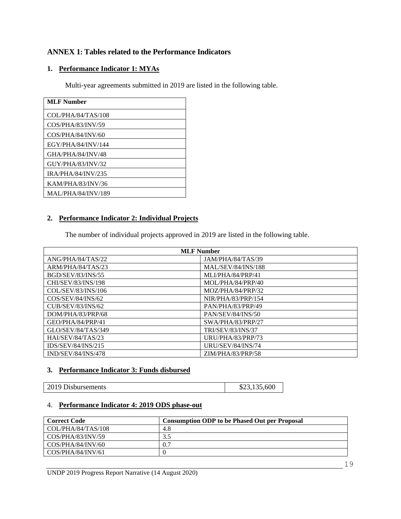# **ANNEX 1: Tables related to the Performance Indicators**

# **1. Performance Indicator 1: MYAs**

Multi-year agreements submitted in 2019 are listed in the following table.

| <b>MLF Number</b>         |
|---------------------------|
| COL/PHA/84/TAS/108        |
| COS/PHA/83/INV/59         |
| COS/PHA/84/INV/60         |
| EGY/PHA/84/INV/144        |
| GHA/PHA/84/INV/48         |
| GUY/PHA/83/INV/32         |
| <b>IRA/PHA/84/INV/235</b> |
| KAM/PHA/83/INV/36         |
| <b>MAL/PHA/84/INV/189</b> |

# **2. Performance Indicator 2: Individual Projects**

The number of individual projects approved in 2019 are listed in the following table.

| <b>MLF</b> Number        |                           |  |
|--------------------------|---------------------------|--|
| ANG/PHA/84/TAS/22        | JAM/PHA/84/TAS/39         |  |
| ARM/PHA/84/TAS/23        | <b>MAL/SEV/84/INS/188</b> |  |
| <b>BGD/SEV/83/INS/55</b> | MLI/PHA/84/PRP/41         |  |
| CHI/SEV/83/INS/198       | MOL/PHA/84/PRP/40         |  |
| COL/SEV/83/INS/106       | MOZ/PHA/84/PRP/32         |  |
| COS/SEV/84/INS/62        | NIR/PHA/83/PRP/154        |  |
| <b>CUB/SEV/83/INS/62</b> | PAN/PHA/83/PRP/49         |  |
| DOM/PHA/83/PRP/68        | PAN/SEV/84/INS/50         |  |
| GEO/PHA/84/PRP/41        | SWA/PHA/83/PRP/27         |  |
| GLO/SEV/84/TAS/349       | <b>TRI/SEV/83/INS/37</b>  |  |
| HAI/SEV/84/TAS/23        | URU/PHA/83/PRP/73         |  |
| IDS/SEV/84/INS/215       | URU/SEV/84/INS/74         |  |
| IND/SEV/84/INS/478       | ZIM/PHA/83/PRP/58         |  |

#### **3. Performance Indicator 3: Funds disbursed**

# $$23,135,600$

# 4. **Performance Indicator 4: 2019 ODS phase-out**

| <b>Correct Code</b> | <b>Consumption ODP to be Phased Out per Proposal</b> |
|---------------------|------------------------------------------------------|
| COL/PHA/84/TAS/108  | 4.8                                                  |
| COS/PHA/83/INV/59   |                                                      |
| COS/PHA/84/INV/60   | 0.7                                                  |
| COS/PHA/84/INV/61   |                                                      |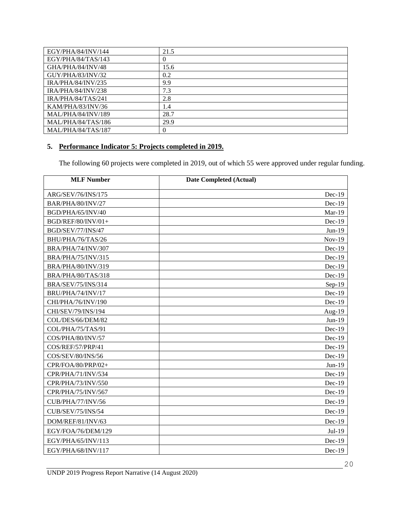| EGY/PHA/84/INV/144        | 21.5     |
|---------------------------|----------|
| EGY/PHA/84/TAS/143        | $\theta$ |
| GHA/PHA/84/INV/48         | 15.6     |
| GUY/PHA/83/INV/32         | 0.2      |
| IRA/PHA/84/INV/235        | 9.9      |
| IRA/PHA/84/INV/238        | 7.3      |
| IRA/PHA/84/TAS/241        | 2.8      |
| KAM/PHA/83/INV/36         | 1.4      |
| <b>MAL/PHA/84/INV/189</b> | 28.7     |
| MAL/PHA/84/TAS/186        | 29.9     |
| MAL/PHA/84/TAS/187        | $\theta$ |

# **5. Performance Indicator 5: Projects completed in 2019.**

The following 60 projects were completed in 2019, out of which 55 were approved under regular funding.

| <b>MLF Number</b>         | <b>Date Completed (Actual)</b> |
|---------------------------|--------------------------------|
| ARG/SEV/76/INS/175        | $Dec-19$                       |
| BAR/PHA/80/INV/27         | $Dec-19$                       |
| BGD/PHA/65/INV/40         | Mar-19                         |
| BGD/REF/80/INV/01+        | $Dec-19$                       |
| BGD/SEV/77/INS/47         | $Jun-19$                       |
| BHU/PHA/76/TAS/26         | $Nov-19$                       |
| BRA/PHA/74/INV/307        | Dec-19                         |
| <b>BRA/PHA/75/INV/315</b> | Dec-19                         |
| BRA/PHA/80/INV/319        | Dec-19                         |
| BRA/PHA/80/TAS/318        | Dec-19                         |
| <b>BRA/SEV/75/INS/314</b> | $Sep-19$                       |
| BRU/PHA/74/INV/17         | $Dec-19$                       |
| CHI/PHA/76/INV/190        | Dec-19                         |
| CHI/SEV/79/INS/194        | Aug- $19$                      |
| COL/DES/66/DEM/82         | $Jun-19$                       |
| COL/PHA/75/TAS/91         | $Dec-19$                       |
| COS/PHA/80/INV/57         | Dec-19                         |
| COS/REF/57/PRP/41         | $Dec-19$                       |
| COS/SEV/80/INS/56         | $Dec-19$                       |
| CPR/FOA/80/PRP/02+        | $Jun-19$                       |
| CPR/PHA/71/INV/534        | Dec-19                         |
| CPR/PHA/73/INV/550        | $Dec-19$                       |
| CPR/PHA/75/INV/567        | Dec-19                         |
| CUB/PHA/77/INV/56         | Dec-19                         |
| <b>CUB/SEV/75/INS/54</b>  | $Dec-19$                       |
| DOM/REF/81/INV/63         | $Dec-19$                       |
| EGY/FOA/76/DEM/129        | Jul-19                         |
| EGY/PHA/65/INV/113        | $Dec-19$                       |
| EGY/PHA/68/INV/117        | $Dec-19$                       |